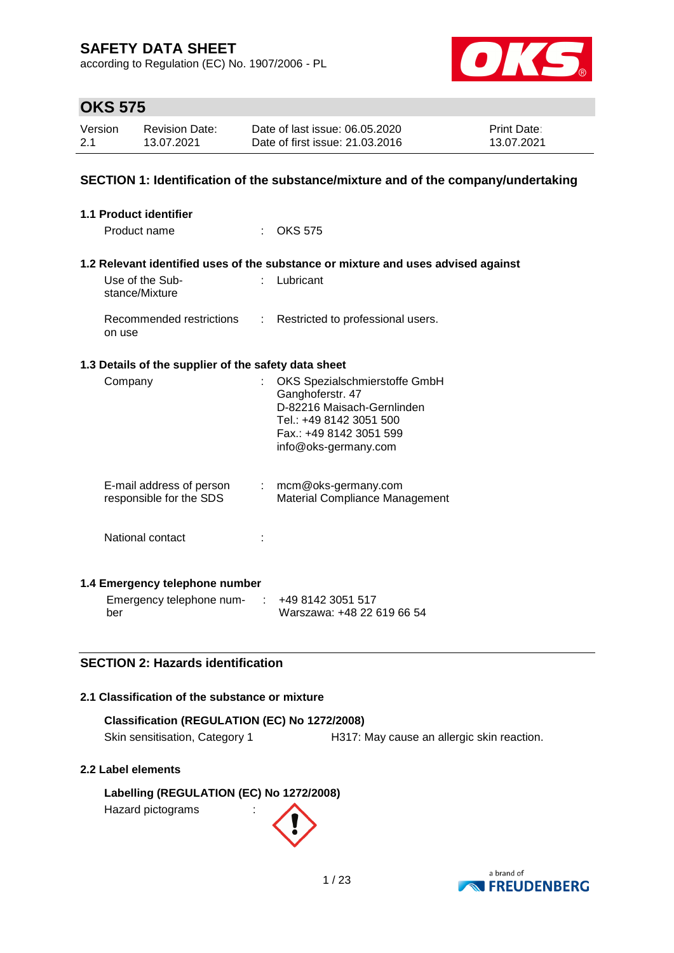according to Regulation (EC) No. 1907/2006 - PL



## **OKS 575**

| Version | <b>Revision Date:</b> | Date of last issue: 06.05.2020  | <b>Print Date:</b> |
|---------|-----------------------|---------------------------------|--------------------|
| 2.1     | 13.07.2021            | Date of first issue: 21.03.2016 | 13.07.2021         |

### **SECTION 1: Identification of the substance/mixture and of the company/undertaking**

| 1.1 Product identifier                               |   |                                                                                   |
|------------------------------------------------------|---|-----------------------------------------------------------------------------------|
| Product name                                         |   | OKS 575                                                                           |
|                                                      |   |                                                                                   |
|                                                      |   | 1.2 Relevant identified uses of the substance or mixture and uses advised against |
| Use of the Sub-<br>stance/Mixture                    |   | Lubricant                                                                         |
| Recommended restrictions<br>on use                   | ÷ | Restricted to professional users.                                                 |
| 1.3 Details of the supplier of the safety data sheet |   |                                                                                   |
| Company                                              |   | OKS Spezialschmierstoffe GmbH                                                     |
|                                                      |   | Ganghoferstr. 47                                                                  |
|                                                      |   | D-82216 Maisach-Gernlinden                                                        |
|                                                      |   | Tel.: +49 8142 3051 500<br>Fax.: +49 8142 3051 599                                |
|                                                      |   | info@oks-germany.com                                                              |
|                                                      |   |                                                                                   |
| E-mail address of person                             |   | $:$ mcm@oks-germany.com                                                           |
| responsible for the SDS                              |   | Material Compliance Management                                                    |
|                                                      |   |                                                                                   |
| National contact                                     |   |                                                                                   |
|                                                      |   |                                                                                   |
| 1.4 Emergency telephone number                       |   |                                                                                   |
| Emergency telephone num-                             |   | +49 8142 3051 517                                                                 |
| ber                                                  |   | Warszawa: +48 22 619 66 54                                                        |

### **SECTION 2: Hazards identification**

#### **2.1 Classification of the substance or mixture**

| Classification (REGULATION (EC) No 1272/2008) |                                            |
|-----------------------------------------------|--------------------------------------------|
| Skin sensitisation, Category 1                | H317: May cause an allergic skin reaction. |

#### **2.2 Label elements**

**Labelling (REGULATION (EC) No 1272/2008)** Hazard pictograms :

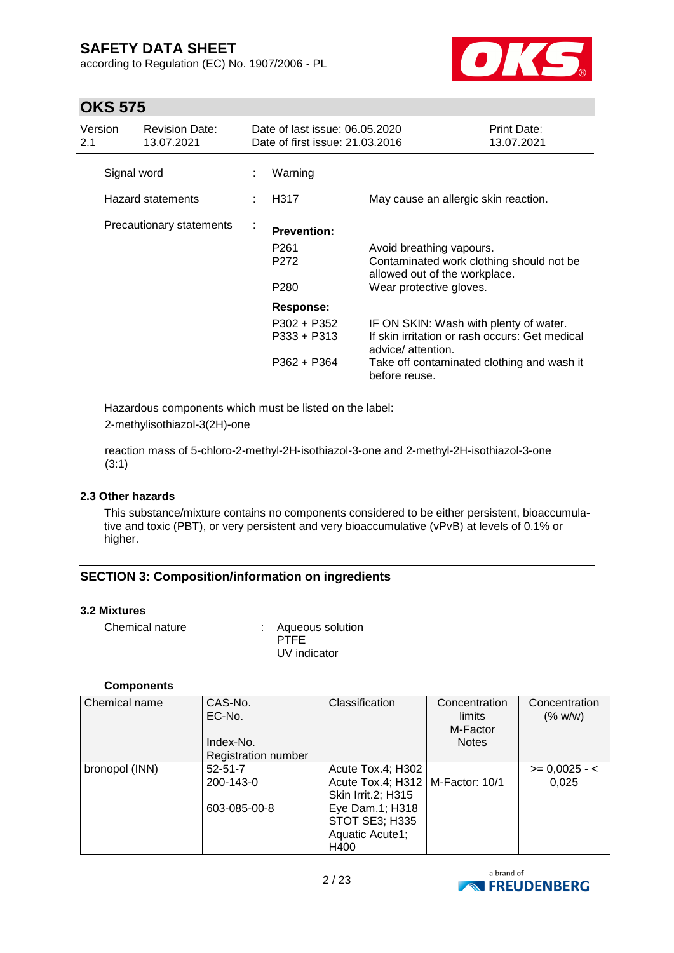according to Regulation (EC) No. 1907/2006 - PL



## **OKS 575**

| Version<br>2.1 | <b>Revision Date:</b><br>13.07.2021 |   | Date of last issue: 06.05.2020<br>Date of first issue: 21.03.2016 |                                                                                                                                                                               | Print Date:<br>13.07.2021 |
|----------------|-------------------------------------|---|-------------------------------------------------------------------|-------------------------------------------------------------------------------------------------------------------------------------------------------------------------------|---------------------------|
|                | Signal word                         |   | Warning                                                           |                                                                                                                                                                               |                           |
|                | <b>Hazard statements</b>            |   | H317                                                              | May cause an allergic skin reaction.                                                                                                                                          |                           |
|                | Precautionary statements            | t | <b>Prevention:</b><br>P <sub>261</sub><br>P272<br>P280            | Avoid breathing vapours.<br>Contaminated work clothing should not be<br>allowed out of the workplace.<br>Wear protective gloves.                                              |                           |
|                |                                     |   | <b>Response:</b><br>P302 + P352<br>P333 + P313<br>P362 + P364     | IF ON SKIN: Wash with plenty of water.<br>If skin irritation or rash occurs: Get medical<br>advice/ attention.<br>Take off contaminated clothing and wash it<br>before reuse. |                           |

Hazardous components which must be listed on the label: 2-methylisothiazol-3(2H)-one

reaction mass of 5-chloro-2-methyl-2H-isothiazol-3-one and 2-methyl-2H-isothiazol-3-one (3:1)

#### **2.3 Other hazards**

This substance/mixture contains no components considered to be either persistent, bioaccumulative and toxic (PBT), or very persistent and very bioaccumulative (vPvB) at levels of 0.1% or higher.

### **SECTION 3: Composition/information on ingredients**

#### **3.2 Mixtures**

Chemical nature : Aqueous solution

PTFF UV indicator

#### **Components**

| Chemical name  | CAS-No.<br>EC-No.   | Classification                                           | Concentration<br>limits<br>M-Factor | Concentration<br>(% w/w) |
|----------------|---------------------|----------------------------------------------------------|-------------------------------------|--------------------------|
|                | Index-No.           |                                                          | <b>Notes</b>                        |                          |
|                | Registration number |                                                          |                                     |                          |
| bronopol (INN) | $52 - 51 - 7$       | Acute Tox.4; H302                                        |                                     | $>= 0,0025 - 1$          |
|                | 200-143-0           | Acute Tox.4; H312   M-Factor: 10/1<br>Skin Irrit.2; H315 |                                     | 0.025                    |
|                | 603-085-00-8        | Eye Dam.1; H318                                          |                                     |                          |
|                |                     | <b>STOT SE3; H335</b>                                    |                                     |                          |
|                |                     | Aquatic Acute1;                                          |                                     |                          |
|                |                     | H400                                                     |                                     |                          |

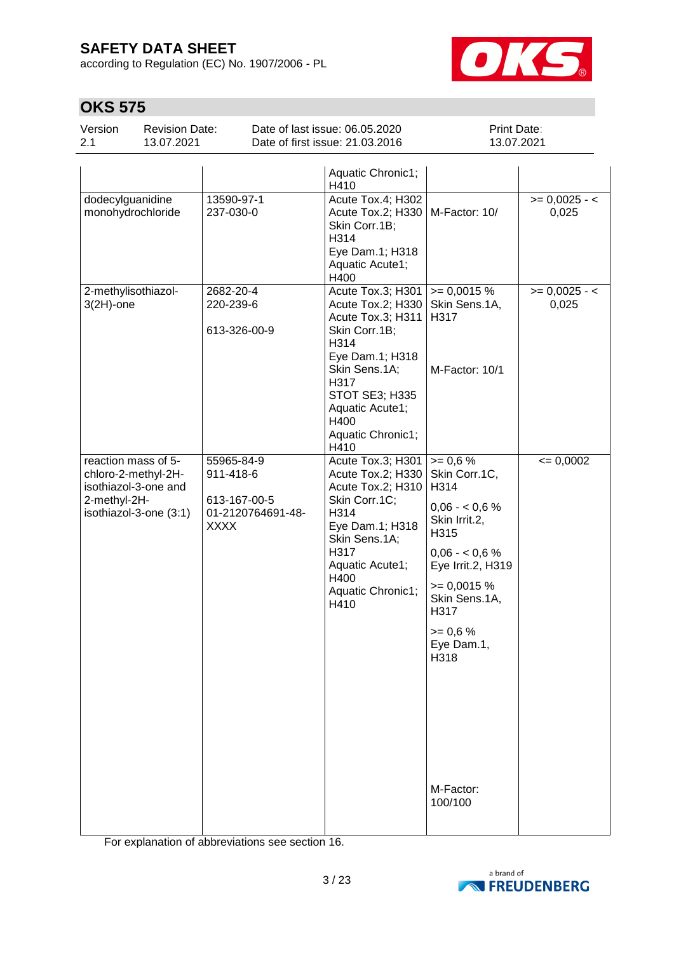according to Regulation (EC) No. 1907/2006 - PL



# **OKS 575**

| Version | <b>Revision Date:</b> | Date of last issue: 06.05.2020  | <b>Print Date:</b> |
|---------|-----------------------|---------------------------------|--------------------|
| 2.1     | 13.07.2021            | Date of first issue: 21.03.2016 | 13.07.2021         |

|                                                                                                              |                                                                             | Aquatic Chronic1;<br>H410                                                                                                                                                                                  |                                                                                                                                                                                                               |                          |
|--------------------------------------------------------------------------------------------------------------|-----------------------------------------------------------------------------|------------------------------------------------------------------------------------------------------------------------------------------------------------------------------------------------------------|---------------------------------------------------------------------------------------------------------------------------------------------------------------------------------------------------------------|--------------------------|
| dodecylguanidine<br>monohydrochloride                                                                        | 13590-97-1<br>237-030-0                                                     | Acute Tox.4; H302<br>Acute Tox.2; H330   M-Factor: 10/<br>Skin Corr.1B;<br>H314<br>Eye Dam.1; H318<br>Aquatic Acute1;<br>H400                                                                              |                                                                                                                                                                                                               | $>= 0,0025 - 1$<br>0,025 |
| 2-methylisothiazol-<br>$3(2H)$ -one                                                                          | 2682-20-4<br>220-239-6<br>613-326-00-9                                      | Acute Tox.3; H301<br>Acute Tox.2; H330<br>Acute Tox.3; H311<br>Skin Corr.1B;<br>H314<br>Eye Dam.1; H318<br>Skin Sens.1A;<br>H317<br>STOT SE3; H335<br>Aquatic Acute1;<br>H400<br>Aquatic Chronic1;<br>H410 | $= 0,0015%$<br>Skin Sens.1A,<br>H317<br>M-Factor: 10/1                                                                                                                                                        | $>= 0,0025 - 1$<br>0,025 |
| reaction mass of 5-<br>chloro-2-methyl-2H-<br>isothiazol-3-one and<br>2-methyl-2H-<br>isothiazol-3-one (3:1) | 55965-84-9<br>911-418-6<br>613-167-00-5<br>01-2120764691-48-<br><b>XXXX</b> | Acute Tox.3; H301   $> = 0.6$ %<br>Acute Tox.2; H330<br>Acute Tox.2; H310<br>Skin Corr.1C;<br>H314<br>Eye Dam.1; H318<br>Skin Sens.1A;<br>H317<br>Aquatic Acute1;<br>H400<br>Aquatic Chronic1;<br>H410     | Skin Corr.1C,<br>H314<br>$0,06 - 0,6%$<br>Skin Irrit.2,<br>H315<br>$0,06 - 0,6%$<br>Eye Irrit.2, H319<br>$\geq 0,0015\%$<br>Skin Sens.1A,<br>H317<br>$>= 0.6 %$<br>Eye Dam.1,<br>H318<br>M-Factor:<br>100/100 | $= 0,0002$               |

For explanation of abbreviations see section 16.

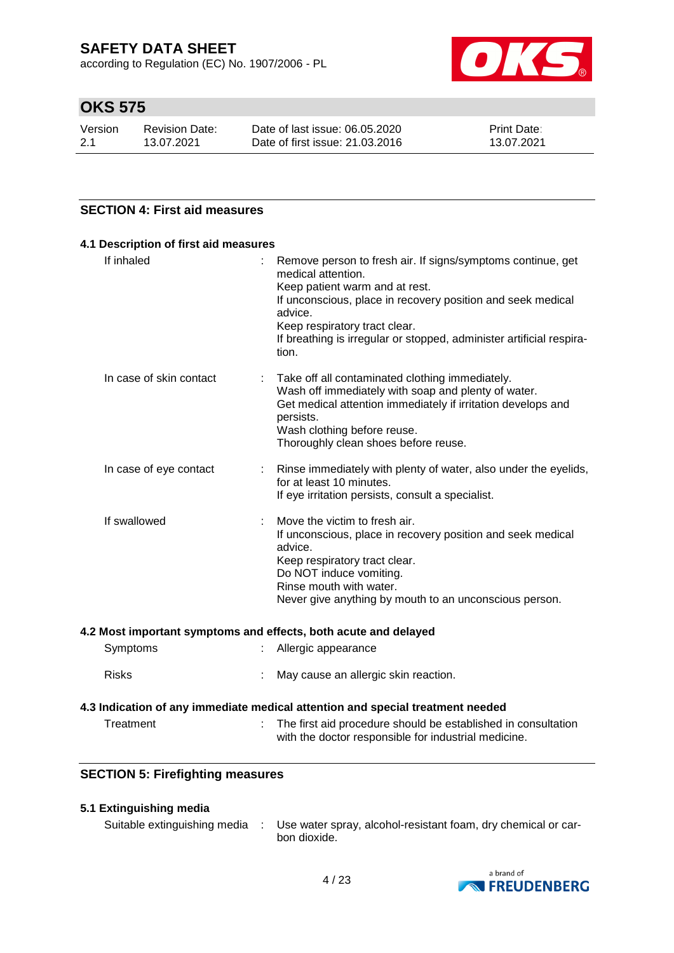according to Regulation (EC) No. 1907/2006 - PL



# **OKS 575**

| Version | Revision Date: | Date of last issue: 06.05.2020  | <b>Print Date:</b> |
|---------|----------------|---------------------------------|--------------------|
| -2.1    | 13.07.2021     | Date of first issue: 21.03.2016 | 13.07.2021         |

### **SECTION 4: First aid measures**

| If inhaled              | Remove person to fresh air. If signs/symptoms continue, get                                                                                                                           |
|-------------------------|---------------------------------------------------------------------------------------------------------------------------------------------------------------------------------------|
|                         | medical attention.                                                                                                                                                                    |
|                         | Keep patient warm and at rest.<br>If unconscious, place in recovery position and seek medical<br>advice.                                                                              |
|                         | Keep respiratory tract clear.                                                                                                                                                         |
|                         | If breathing is irregular or stopped, administer artificial respira-<br>tion.                                                                                                         |
| In case of skin contact | : Take off all contaminated clothing immediately.<br>Wash off immediately with soap and plenty of water.<br>Get medical attention immediately if irritation develops and<br>persists. |
|                         | Wash clothing before reuse.<br>Thoroughly clean shoes before reuse.                                                                                                                   |
| In case of eye contact  | : Rinse immediately with plenty of water, also under the eyelids,<br>for at least 10 minutes.                                                                                         |
|                         | If eye irritation persists, consult a specialist.                                                                                                                                     |
| If swallowed            | Move the victim to fresh air.                                                                                                                                                         |
|                         | If unconscious, place in recovery position and seek medical<br>advice.                                                                                                                |
|                         | Keep respiratory tract clear.<br>Do NOT induce vomiting.                                                                                                                              |
|                         | Rinse mouth with water.                                                                                                                                                               |
|                         | Never give anything by mouth to an unconscious person.                                                                                                                                |

#### **4.2 Most important symptoms and effects, both acute and delayed**

| Taa ahaa a ah | - 「一下には flugh add a sea a diring a learntat learned a leated the sea and tasted |
|---------------|---------------------------------------------------------------------------------|
|               | 4.3 Indication of any immediate medical attention and special treatment needed  |
| <b>Risks</b>  | : May cause an allergic skin reaction.                                          |
| Symptoms      | : Allergic appearance                                                           |

| Treatment | The first aid procedure should be established in consultation |
|-----------|---------------------------------------------------------------|
|           | with the doctor responsible for industrial medicine.          |

### **SECTION 5: Firefighting measures**

### **5.1 Extinguishing media**

| Suitable extinguishing media | Use water spray, alcohol-resistant foam, dry chemical or car- |
|------------------------------|---------------------------------------------------------------|
|                              | bon dioxide.                                                  |

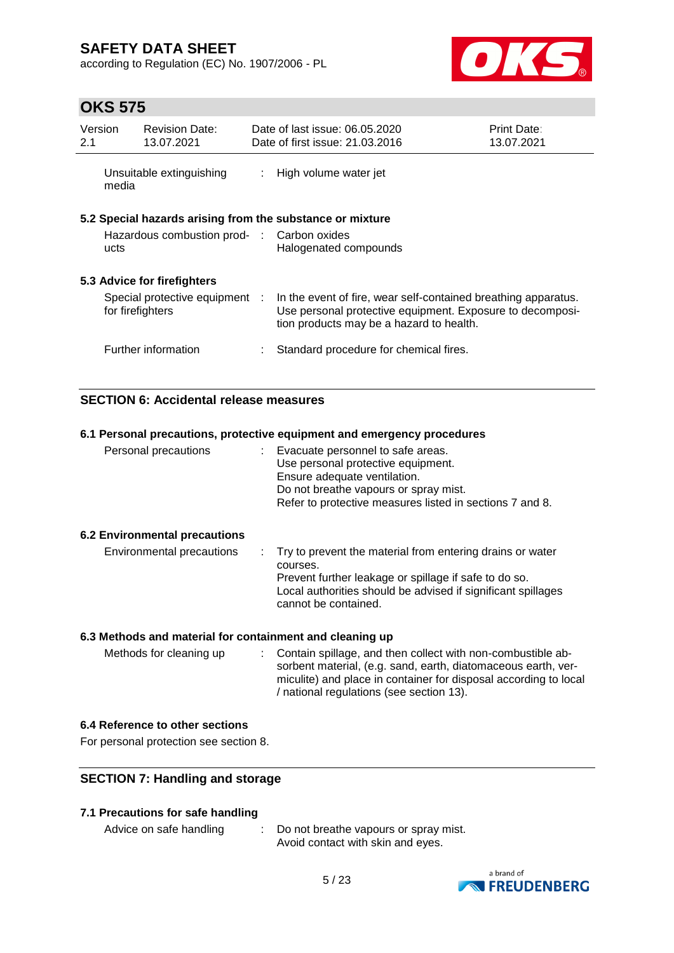according to Regulation (EC) No. 1907/2006 - PL



## **OKS 575**

| Version<br>2.1                                     |       | <b>Revision Date:</b><br>13.07.2021        |                                                                                                                                                                         | Date of last issue: 06.05.2020<br>Date of first issue: 21.03.2016                  | <b>Print Date:</b><br>13.07.2021 |
|----------------------------------------------------|-------|--------------------------------------------|-------------------------------------------------------------------------------------------------------------------------------------------------------------------------|------------------------------------------------------------------------------------|----------------------------------|
|                                                    | media | Unsuitable extinguishing                   | ÷.                                                                                                                                                                      | High volume water jet                                                              |                                  |
|                                                    | ucts  | Hazardous combustion prod- : Carbon oxides |                                                                                                                                                                         | 5.2 Special hazards arising from the substance or mixture<br>Halogenated compounds |                                  |
|                                                    |       | 5.3 Advice for firefighters                |                                                                                                                                                                         |                                                                                    |                                  |
| Special protective equipment :<br>for firefighters |       |                                            | In the event of fire, wear self-contained breathing apparatus.<br>Use personal protective equipment. Exposure to decomposi-<br>tion products may be a hazard to health. |                                                                                    |                                  |
|                                                    |       | Further information                        |                                                                                                                                                                         | Standard procedure for chemical fires.                                             |                                  |

### **SECTION 6: Accidental release measures**

| 6.1 Personal precautions, protective equipment and emergency procedures |                                                                                                                                                                                                                          |  |  |  |  |  |
|-------------------------------------------------------------------------|--------------------------------------------------------------------------------------------------------------------------------------------------------------------------------------------------------------------------|--|--|--|--|--|
| Personal precautions                                                    | : Evacuate personnel to safe areas.<br>Use personal protective equipment.<br>Ensure adequate ventilation.<br>Do not breathe vapours or spray mist.<br>Refer to protective measures listed in sections 7 and 8.           |  |  |  |  |  |
| <b>6.2 Environmental precautions</b>                                    |                                                                                                                                                                                                                          |  |  |  |  |  |
| Environmental precautions                                               | : Try to prevent the material from entering drains or water<br>courses.<br>Prevent further leakage or spillage if safe to do so.<br>Local authorities should be advised if significant spillages<br>cannot be contained. |  |  |  |  |  |
| 6.3 Methods and material for containment and cleaning up                |                                                                                                                                                                                                                          |  |  |  |  |  |

Methods for cleaning up : Contain spillage, and then collect with non-combustible absorbent material, (e.g. sand, earth, diatomaceous earth, vermiculite) and place in container for disposal according to local / national regulations (see section 13).

### **6.4 Reference to other sections**

For personal protection see section 8.

### **SECTION 7: Handling and storage**

#### **7.1 Precautions for safe handling**

Advice on safe handling : Do not breathe vapours or spray mist. Avoid contact with skin and eyes.

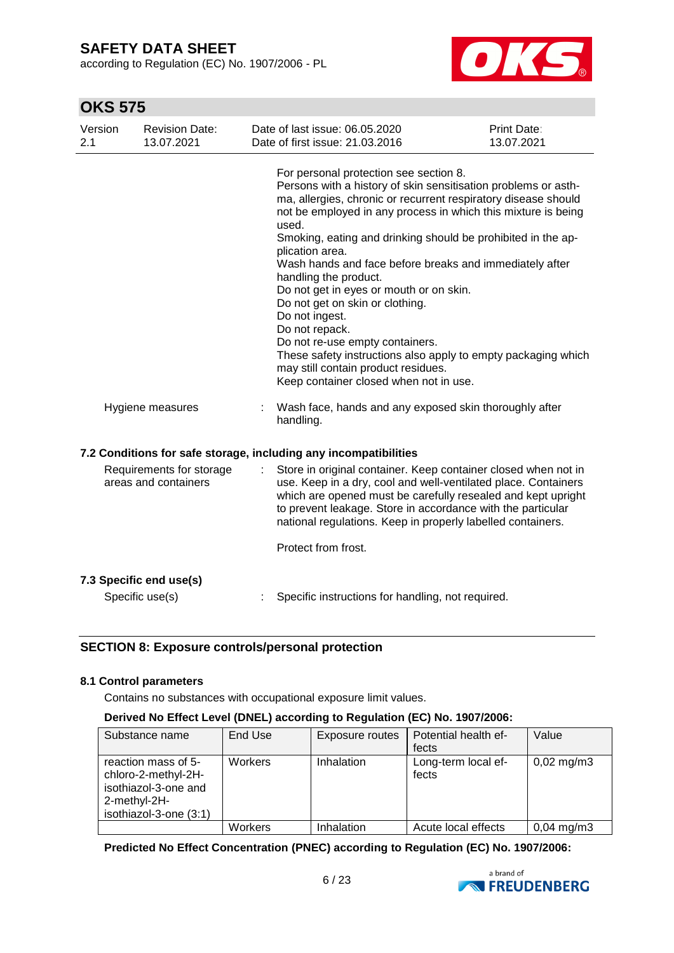according to Regulation (EC) No. 1907/2006 - PL



## **OKS 575**

| For personal protection see section 8.<br>Persons with a history of skin sensitisation problems or asth-<br>ma, allergies, chronic or recurrent respiratory disease should<br>not be employed in any process in which this mixture is being<br>used.<br>Smoking, eating and drinking should be prohibited in the ap-<br>plication area.<br>Wash hands and face before breaks and immediately after<br>handling the product.<br>Do not get in eyes or mouth or on skin.<br>Do not get on skin or clothing.<br>Do not ingest.<br>Do not repack.<br>Do not re-use empty containers.<br>These safety instructions also apply to empty packaging which<br>may still contain product residues.<br>Keep container closed when not in use.<br>Wash face, hands and any exposed skin thoroughly after<br>Hygiene measures<br>handling.<br>7.2 Conditions for safe storage, including any incompatibilities<br>Requirements for storage<br>Store in original container. Keep container closed when not in<br>areas and containers<br>use. Keep in a dry, cool and well-ventilated place. Containers<br>which are opened must be carefully resealed and kept upright<br>to prevent leakage. Store in accordance with the particular<br>national regulations. Keep in properly labelled containers.<br>Protect from frost.<br>7.3 Specific end use(s) | Version<br>2.1 | <b>Revision Date:</b><br>13.07.2021 | Date of last issue: 06.05.2020<br>Date of first issue: 21.03.2016 | Print Date:<br>13.07.2021 |
|-------------------------------------------------------------------------------------------------------------------------------------------------------------------------------------------------------------------------------------------------------------------------------------------------------------------------------------------------------------------------------------------------------------------------------------------------------------------------------------------------------------------------------------------------------------------------------------------------------------------------------------------------------------------------------------------------------------------------------------------------------------------------------------------------------------------------------------------------------------------------------------------------------------------------------------------------------------------------------------------------------------------------------------------------------------------------------------------------------------------------------------------------------------------------------------------------------------------------------------------------------------------------------------------------------------------------------------------|----------------|-------------------------------------|-------------------------------------------------------------------|---------------------------|
|                                                                                                                                                                                                                                                                                                                                                                                                                                                                                                                                                                                                                                                                                                                                                                                                                                                                                                                                                                                                                                                                                                                                                                                                                                                                                                                                           |                |                                     |                                                                   |                           |
|                                                                                                                                                                                                                                                                                                                                                                                                                                                                                                                                                                                                                                                                                                                                                                                                                                                                                                                                                                                                                                                                                                                                                                                                                                                                                                                                           |                |                                     |                                                                   |                           |
|                                                                                                                                                                                                                                                                                                                                                                                                                                                                                                                                                                                                                                                                                                                                                                                                                                                                                                                                                                                                                                                                                                                                                                                                                                                                                                                                           |                |                                     |                                                                   |                           |
|                                                                                                                                                                                                                                                                                                                                                                                                                                                                                                                                                                                                                                                                                                                                                                                                                                                                                                                                                                                                                                                                                                                                                                                                                                                                                                                                           |                |                                     |                                                                   |                           |
|                                                                                                                                                                                                                                                                                                                                                                                                                                                                                                                                                                                                                                                                                                                                                                                                                                                                                                                                                                                                                                                                                                                                                                                                                                                                                                                                           |                |                                     |                                                                   |                           |
| Specific use(s)                                                                                                                                                                                                                                                                                                                                                                                                                                                                                                                                                                                                                                                                                                                                                                                                                                                                                                                                                                                                                                                                                                                                                                                                                                                                                                                           |                |                                     | Specific instructions for handling, not required.                 |                           |

### **SECTION 8: Exposure controls/personal protection**

#### **8.1 Control parameters**

Contains no substances with occupational exposure limit values.

#### **Derived No Effect Level (DNEL) according to Regulation (EC) No. 1907/2006:**

| Substance name                                                                                               | End Use | Exposure routes | Potential health ef-<br>fects | Value                 |
|--------------------------------------------------------------------------------------------------------------|---------|-----------------|-------------------------------|-----------------------|
| reaction mass of 5-<br>chloro-2-methyl-2H-<br>isothiazol-3-one and<br>2-methyl-2H-<br>isothiazol-3-one (3:1) | Workers | Inhalation      | Long-term local ef-<br>fects  | $0,02 \text{ mg/m}$ 3 |
|                                                                                                              | Workers | Inhalation      | Acute local effects           | $0,04 \text{ mg/m}$ 3 |

**Predicted No Effect Concentration (PNEC) according to Regulation (EC) No. 1907/2006:**

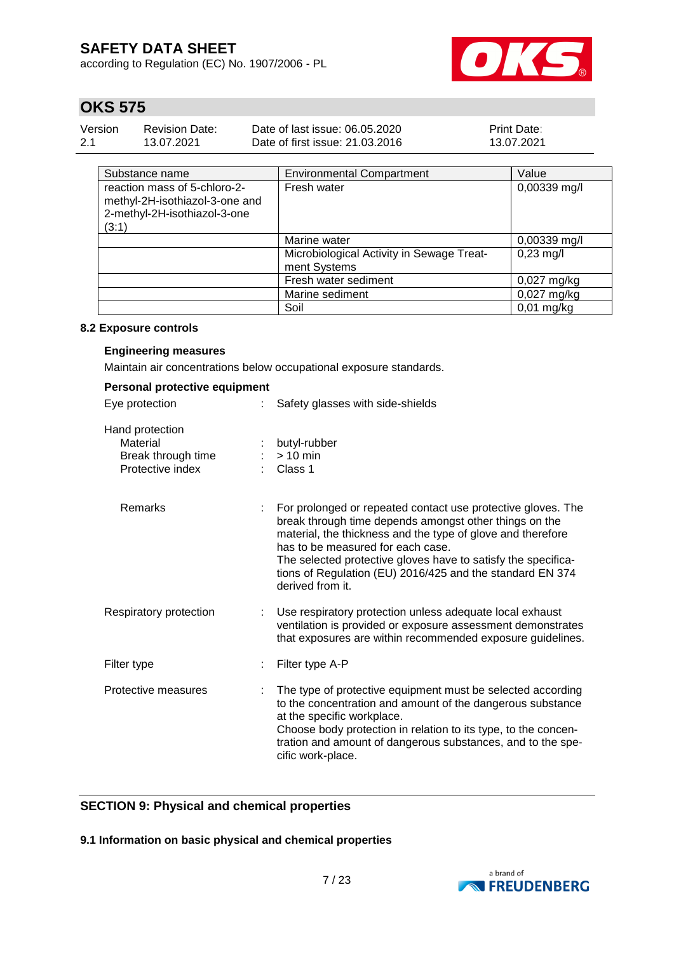according to Regulation (EC) No. 1907/2006 - PL



# **OKS 575**

| Version | <b>Revision Date:</b> | Date of last issue: 06.05.2020  | <b>Print Date:</b> |
|---------|-----------------------|---------------------------------|--------------------|
| 2.1     | 13.07.2021            | Date of first issue: 21,03,2016 | 13.07.2021         |

| Substance name                                                                                          | <b>Environmental Compartment</b>                          | Value         |
|---------------------------------------------------------------------------------------------------------|-----------------------------------------------------------|---------------|
| reaction mass of 5-chloro-2-<br>methyl-2H-isothiazol-3-one and<br>2-methyl-2H-isothiazol-3-one<br>(3:1) | Fresh water                                               | 0,00339 mg/l  |
|                                                                                                         | Marine water                                              | 0,00339 mg/l  |
|                                                                                                         | Microbiological Activity in Sewage Treat-<br>ment Systems | $0,23$ mg/l   |
|                                                                                                         | Fresh water sediment                                      | $0,027$ mg/kg |
|                                                                                                         | Marine sediment                                           | $0,027$ mg/kg |
|                                                                                                         | Soil                                                      | $0.01$ mg/kg  |

#### **8.2 Exposure controls**

#### **Engineering measures**

Maintain air concentrations below occupational exposure standards.

| Personal protective equipment                                         |                                                                                                                                                                                                                                                                                                                                                                              |
|-----------------------------------------------------------------------|------------------------------------------------------------------------------------------------------------------------------------------------------------------------------------------------------------------------------------------------------------------------------------------------------------------------------------------------------------------------------|
| Eye protection                                                        | Safety glasses with side-shields                                                                                                                                                                                                                                                                                                                                             |
| Hand protection<br>Material<br>Break through time<br>Protective index | butyl-rubber<br>$> 10$ min<br>Class 1                                                                                                                                                                                                                                                                                                                                        |
| <b>Remarks</b>                                                        | For prolonged or repeated contact use protective gloves. The<br>break through time depends amongst other things on the<br>material, the thickness and the type of glove and therefore<br>has to be measured for each case.<br>The selected protective gloves have to satisfy the specifica-<br>tions of Regulation (EU) 2016/425 and the standard EN 374<br>derived from it. |
| Respiratory protection                                                | Use respiratory protection unless adequate local exhaust<br>ventilation is provided or exposure assessment demonstrates<br>that exposures are within recommended exposure guidelines.                                                                                                                                                                                        |
| Filter type                                                           | Filter type A-P                                                                                                                                                                                                                                                                                                                                                              |
| Protective measures                                                   | The type of protective equipment must be selected according<br>to the concentration and amount of the dangerous substance<br>at the specific workplace.<br>Choose body protection in relation to its type, to the concen-<br>tration and amount of dangerous substances, and to the spe-<br>cific work-place.                                                                |

### **SECTION 9: Physical and chemical properties**

**9.1 Information on basic physical and chemical properties**

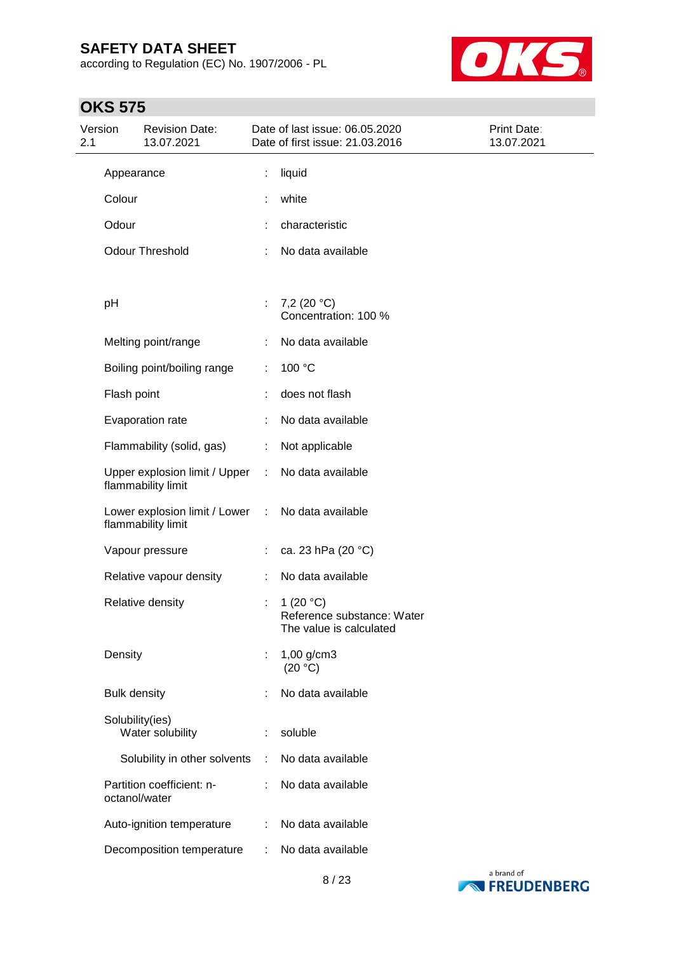according to Regulation (EC) No. 1907/2006 - PL



| Version<br>2.1 |                     | <b>Revision Date:</b><br>13.07.2021                 |    | Date of last issue: 06.05.2020<br>Date of first issue: 21.03.2016    | Print Date:<br>13.07.2021 |
|----------------|---------------------|-----------------------------------------------------|----|----------------------------------------------------------------------|---------------------------|
|                | Appearance          |                                                     | t, | liquid                                                               |                           |
|                | Colour              |                                                     |    | white                                                                |                           |
|                | Odour               |                                                     |    | characteristic                                                       |                           |
|                |                     | <b>Odour Threshold</b>                              |    | No data available                                                    |                           |
|                | pH                  |                                                     | ÷. | 7,2 $(20 °C)$<br>Concentration: 100 %                                |                           |
|                |                     | Melting point/range                                 |    | No data available                                                    |                           |
|                |                     | Boiling point/boiling range                         | ÷  | 100 °C                                                               |                           |
|                | Flash point         |                                                     |    | does not flash                                                       |                           |
|                |                     | Evaporation rate                                    |    | No data available                                                    |                           |
|                |                     | Flammability (solid, gas)                           | ÷. | Not applicable                                                       |                           |
|                |                     | Upper explosion limit / Upper<br>flammability limit | ÷  | No data available                                                    |                           |
|                |                     | Lower explosion limit / Lower<br>flammability limit | ÷  | No data available                                                    |                           |
|                |                     | Vapour pressure                                     |    | ca. 23 hPa (20 °C)                                                   |                           |
|                |                     | Relative vapour density                             | ÷  | No data available                                                    |                           |
|                |                     | Relative density                                    | t  | 1 $(20 °C)$<br>Reference substance: Water<br>The value is calculated |                           |
|                | Density             |                                                     |    | $1,00$ g/cm3<br>(20 °C)                                              |                           |
|                | <b>Bulk density</b> |                                                     |    | No data available                                                    |                           |
|                | Solubility(ies)     | Water solubility                                    |    | soluble                                                              |                           |
|                |                     | Solubility in other solvents                        | ÷  | No data available                                                    |                           |
|                | octanol/water       | Partition coefficient: n-                           | ÷  | No data available                                                    |                           |
|                |                     | Auto-ignition temperature                           | ÷  | No data available                                                    |                           |
|                |                     | Decomposition temperature                           | ÷  | No data available                                                    |                           |

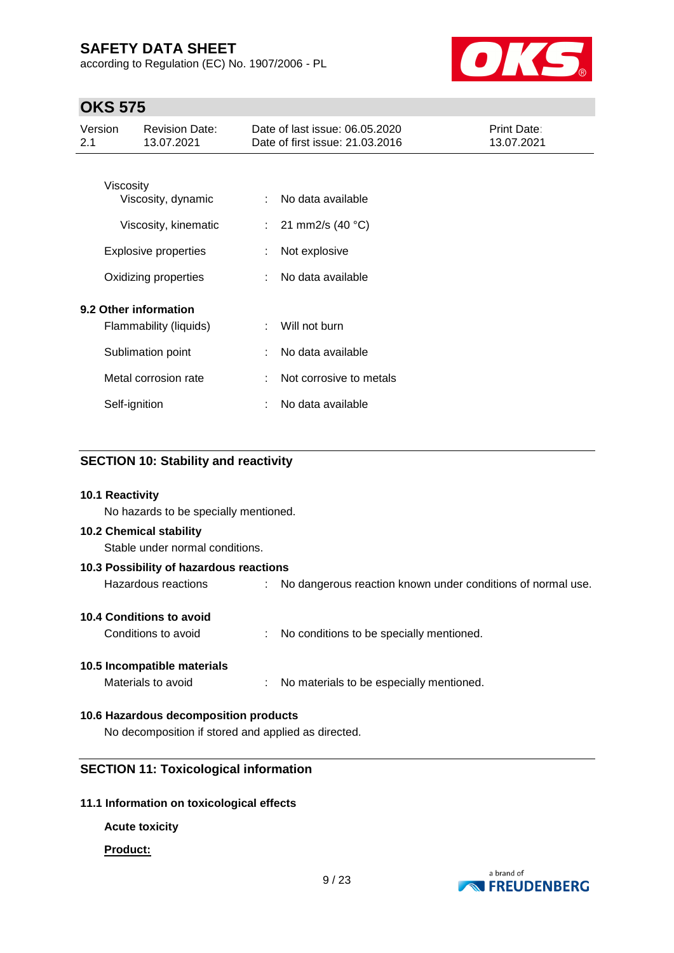according to Regulation (EC) No. 1907/2006 - PL



# **OKS 575**

| Version<br><b>Revision Date:</b><br>13.07.2021<br>2.1 |                             | Date of last issue: 06.05.2020<br>Date of first issue: 21.03.2016 |                         | Print Date:<br>13.07.2021 |
|-------------------------------------------------------|-----------------------------|-------------------------------------------------------------------|-------------------------|---------------------------|
|                                                       |                             |                                                                   |                         |                           |
| Viscosity                                             | Viscosity, dynamic          | ÷                                                                 | No data available       |                           |
|                                                       | Viscosity, kinematic        | ÷.                                                                | 21 mm2/s (40 °C)        |                           |
|                                                       | <b>Explosive properties</b> |                                                                   | Not explosive           |                           |
|                                                       | Oxidizing properties        |                                                                   | No data available       |                           |
| 9.2 Other information                                 |                             |                                                                   |                         |                           |
|                                                       | Flammability (liquids)      |                                                                   | Will not burn           |                           |
|                                                       | Sublimation point           | ÷                                                                 | No data available       |                           |
|                                                       | Metal corrosion rate        | ÷                                                                 | Not corrosive to metals |                           |
| Self-ignition                                         |                             | ÷                                                                 | No data available       |                           |

### **SECTION 10: Stability and reactivity**

#### **10.1 Reactivity**

No hazards to be specially mentioned.

#### **10.2 Chemical stability**

Stable under normal conditions.

| 10.3 Possibility of hazardous reactions |                                                               |  |  |  |  |  |  |
|-----------------------------------------|---------------------------------------------------------------|--|--|--|--|--|--|
| Hazardous reactions                     | : No dangerous reaction known under conditions of normal use. |  |  |  |  |  |  |
| 10.4 Conditions to avoid                |                                                               |  |  |  |  |  |  |

Conditions to avoid : No conditions to be specially mentioned.

### **10.5 Incompatible materials**

Materials to avoid : No materials to be especially mentioned.

### **10.6 Hazardous decomposition products**

No decomposition if stored and applied as directed.

### **SECTION 11: Toxicological information**

#### **11.1 Information on toxicological effects**

### **Acute toxicity**

#### **Product:**

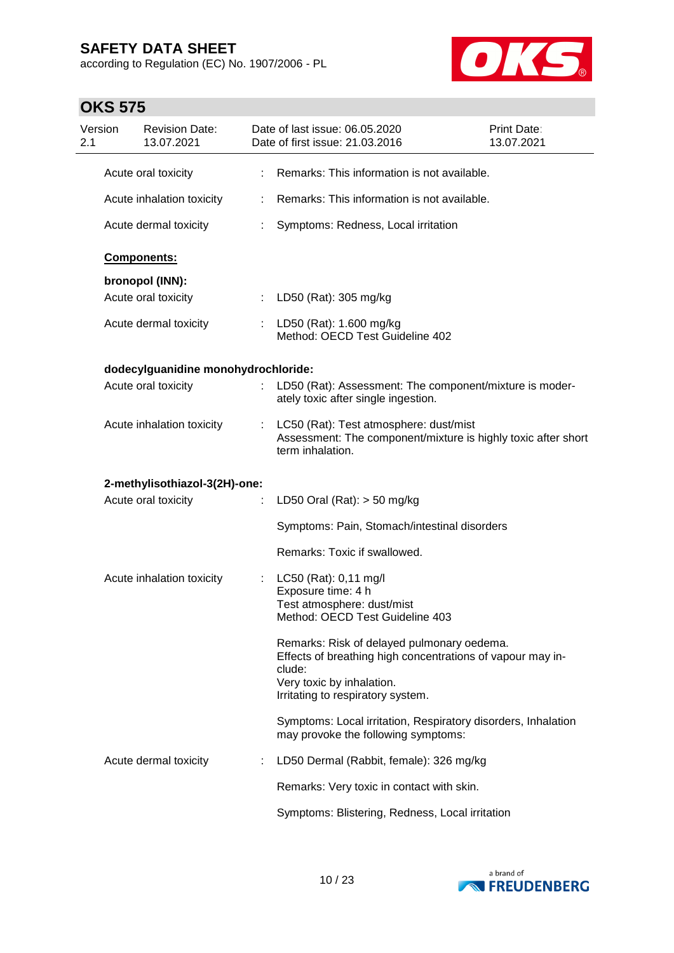according to Regulation (EC) No. 1907/2006 - PL



| Version<br>2.1 | <b>Revision Date:</b><br>13.07.2021 |    | Date of last issue: 06.05.2020<br>Date of first issue: 21.03.2016                                                                                                                    | Print Date:<br>13.07.2021 |
|----------------|-------------------------------------|----|--------------------------------------------------------------------------------------------------------------------------------------------------------------------------------------|---------------------------|
|                | Acute oral toxicity                 |    | Remarks: This information is not available.                                                                                                                                          |                           |
|                | Acute inhalation toxicity           |    | Remarks: This information is not available.                                                                                                                                          |                           |
|                | Acute dermal toxicity               |    | Symptoms: Redness, Local irritation                                                                                                                                                  |                           |
|                | Components:                         |    |                                                                                                                                                                                      |                           |
|                | bronopol (INN):                     |    |                                                                                                                                                                                      |                           |
|                | Acute oral toxicity                 | ÷. | LD50 (Rat): 305 mg/kg                                                                                                                                                                |                           |
|                | Acute dermal toxicity               |    | : LD50 (Rat): 1.600 mg/kg<br>Method: OECD Test Guideline 402                                                                                                                         |                           |
|                | dodecylguanidine monohydrochloride: |    |                                                                                                                                                                                      |                           |
|                | Acute oral toxicity                 |    | LD50 (Rat): Assessment: The component/mixture is moder-<br>ately toxic after single ingestion.                                                                                       |                           |
|                | Acute inhalation toxicity           | ÷  | LC50 (Rat): Test atmosphere: dust/mist<br>Assessment: The component/mixture is highly toxic after short<br>term inhalation.                                                          |                           |
|                | 2-methylisothiazol-3(2H)-one:       |    |                                                                                                                                                                                      |                           |
|                | Acute oral toxicity                 |    | LD50 Oral (Rat): $>$ 50 mg/kg                                                                                                                                                        |                           |
|                |                                     |    | Symptoms: Pain, Stomach/intestinal disorders                                                                                                                                         |                           |
|                |                                     |    | Remarks: Toxic if swallowed.                                                                                                                                                         |                           |
|                | Acute inhalation toxicity           | t  | LC50 (Rat): 0,11 mg/l                                                                                                                                                                |                           |
|                |                                     |    | Exposure time: 4 h                                                                                                                                                                   |                           |
|                |                                     |    | Test atmosphere: dust/mist                                                                                                                                                           |                           |
|                |                                     |    | Method: OECD Test Guideline 403                                                                                                                                                      |                           |
|                |                                     |    | Remarks: Risk of delayed pulmonary oedema.<br>Effects of breathing high concentrations of vapour may in-<br>clude:<br>Very toxic by inhalation.<br>Irritating to respiratory system. |                           |
|                |                                     |    | Symptoms: Local irritation, Respiratory disorders, Inhalation<br>may provoke the following symptoms:                                                                                 |                           |
|                | Acute dermal toxicity               |    | LD50 Dermal (Rabbit, female): 326 mg/kg                                                                                                                                              |                           |
|                |                                     |    | Remarks: Very toxic in contact with skin.                                                                                                                                            |                           |
|                |                                     |    | Symptoms: Blistering, Redness, Local irritation                                                                                                                                      |                           |

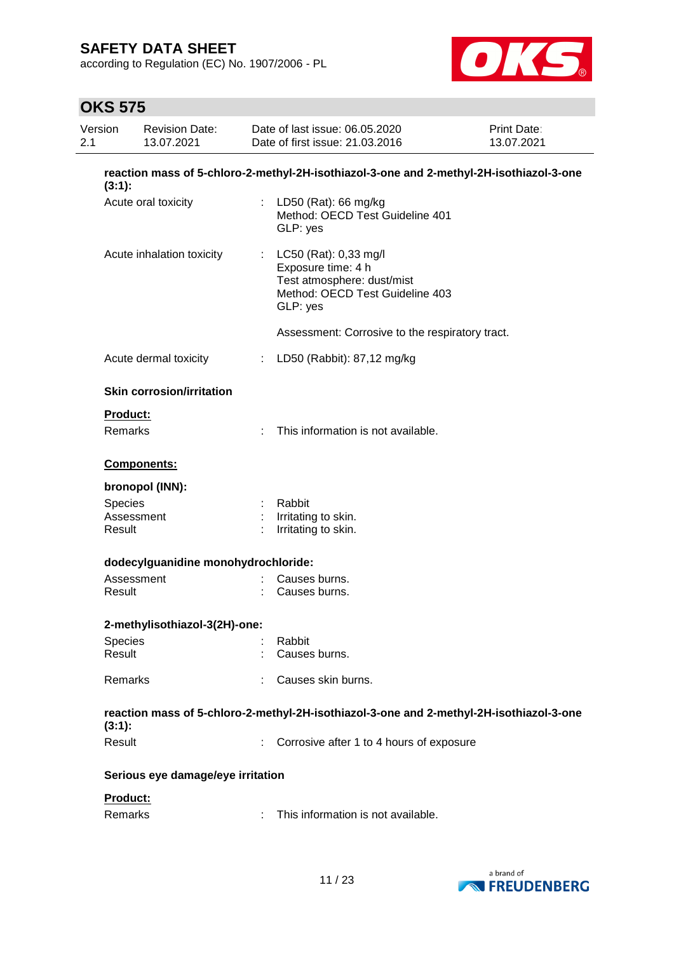according to Regulation (EC) No. 1907/2006 - PL



| Version<br><b>Revision Date:</b><br>2.1<br>13.07.2021 |                                                                                                   |    | Date of last issue: 06.05.2020<br>Print Date:<br>Date of first issue: 21.03.2016<br>13.07.2021                             |  |  |  |  |  |
|-------------------------------------------------------|---------------------------------------------------------------------------------------------------|----|----------------------------------------------------------------------------------------------------------------------------|--|--|--|--|--|
|                                                       | reaction mass of 5-chloro-2-methyl-2H-isothiazol-3-one and 2-methyl-2H-isothiazol-3-one<br>(3:1): |    |                                                                                                                            |  |  |  |  |  |
|                                                       | Acute oral toxicity                                                                               |    | : LD50 (Rat): 66 mg/kg<br>Method: OECD Test Guideline 401<br>GLP: yes                                                      |  |  |  |  |  |
|                                                       | Acute inhalation toxicity                                                                         |    | : LC50 (Rat): 0,33 mg/l<br>Exposure time: 4 h<br>Test atmosphere: dust/mist<br>Method: OECD Test Guideline 403<br>GLP: yes |  |  |  |  |  |
|                                                       |                                                                                                   |    | Assessment: Corrosive to the respiratory tract.                                                                            |  |  |  |  |  |
|                                                       | Acute dermal toxicity                                                                             | t. | LD50 (Rabbit): 87,12 mg/kg                                                                                                 |  |  |  |  |  |
|                                                       | <b>Skin corrosion/irritation</b>                                                                  |    |                                                                                                                            |  |  |  |  |  |
| Product:                                              |                                                                                                   |    |                                                                                                                            |  |  |  |  |  |
| Remarks                                               |                                                                                                   |    | This information is not available.                                                                                         |  |  |  |  |  |
|                                                       | Components:                                                                                       |    |                                                                                                                            |  |  |  |  |  |
|                                                       | bronopol (INN):                                                                                   |    |                                                                                                                            |  |  |  |  |  |
| <b>Species</b>                                        |                                                                                                   |    | Rabbit                                                                                                                     |  |  |  |  |  |
| Result                                                | Assessment                                                                                        |    | Irritating to skin.<br>Irritating to skin.                                                                                 |  |  |  |  |  |
|                                                       | dodecylguanidine monohydrochloride:                                                               |    |                                                                                                                            |  |  |  |  |  |
|                                                       | Assessment                                                                                        |    | Causes burns.                                                                                                              |  |  |  |  |  |
| Result                                                |                                                                                                   |    | Causes burns.                                                                                                              |  |  |  |  |  |
|                                                       | 2-methylisothiazol-3(2H)-one:                                                                     |    |                                                                                                                            |  |  |  |  |  |
| <b>Species</b>                                        |                                                                                                   |    | Rabbit                                                                                                                     |  |  |  |  |  |
| Result                                                |                                                                                                   |    | Causes burns.                                                                                                              |  |  |  |  |  |
| Remarks                                               |                                                                                                   |    | Causes skin burns.                                                                                                         |  |  |  |  |  |
| (3:1):                                                |                                                                                                   |    | reaction mass of 5-chloro-2-methyl-2H-isothiazol-3-one and 2-methyl-2H-isothiazol-3-one                                    |  |  |  |  |  |
| Result                                                |                                                                                                   |    | Corrosive after 1 to 4 hours of exposure                                                                                   |  |  |  |  |  |
|                                                       | Serious eye damage/eye irritation                                                                 |    |                                                                                                                            |  |  |  |  |  |
| Product:                                              |                                                                                                   |    |                                                                                                                            |  |  |  |  |  |
| Remarks                                               |                                                                                                   |    | This information is not available.                                                                                         |  |  |  |  |  |

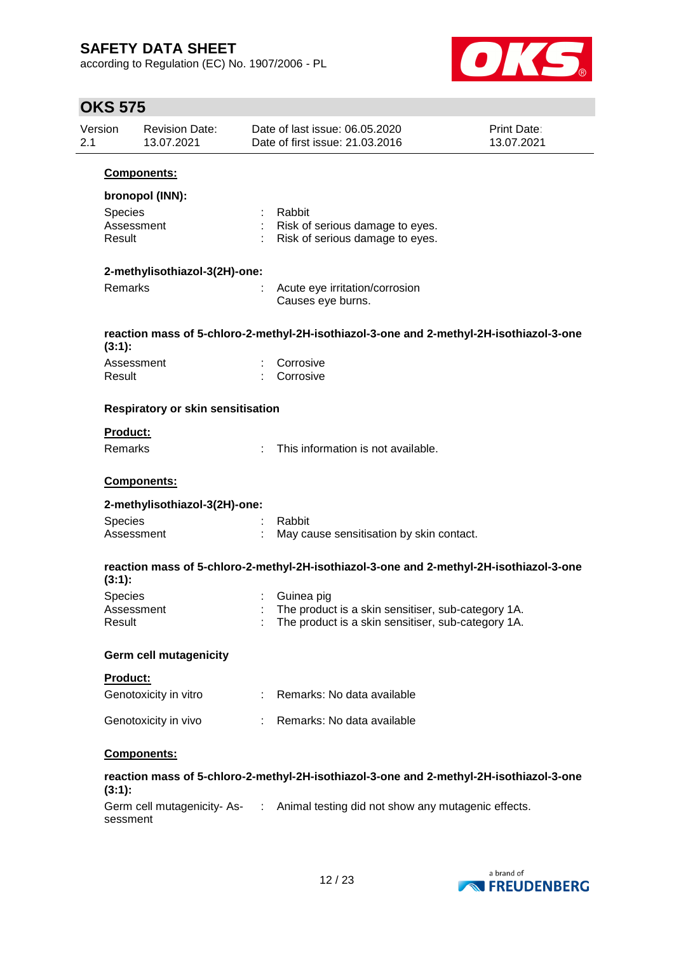according to Regulation (EC) No. 1907/2006 - PL



| 2.1 | Version<br><b>Revision Date:</b><br>13.07.2021     |    | Date of last issue: 06.05.2020<br>Print Date:<br>13.07.2021<br>Date of first issue: 21.03.2016                         |  |  |  |  |
|-----|----------------------------------------------------|----|------------------------------------------------------------------------------------------------------------------------|--|--|--|--|
|     | Components:                                        |    |                                                                                                                        |  |  |  |  |
|     | bronopol (INN):<br>Species<br>Assessment<br>Result |    | Rabbit<br>Risk of serious damage to eyes.<br>Risk of serious damage to eyes.                                           |  |  |  |  |
|     | 2-methylisothiazol-3(2H)-one:                      |    |                                                                                                                        |  |  |  |  |
|     | Remarks                                            |    | Acute eye irritation/corrosion<br>Causes eye burns.                                                                    |  |  |  |  |
|     | $(3:1)$ :                                          |    | reaction mass of 5-chloro-2-methyl-2H-isothiazol-3-one and 2-methyl-2H-isothiazol-3-one                                |  |  |  |  |
|     | Assessment<br>Result                               |    | Corrosive<br>Corrosive                                                                                                 |  |  |  |  |
|     | <b>Respiratory or skin sensitisation</b>           |    |                                                                                                                        |  |  |  |  |
|     | <b>Product:</b><br>Remarks                         |    | This information is not available.                                                                                     |  |  |  |  |
|     | Components:                                        |    |                                                                                                                        |  |  |  |  |
|     | 2-methylisothiazol-3(2H)-one:                      |    |                                                                                                                        |  |  |  |  |
|     | Species<br>Assessment                              |    | Rabbit<br>May cause sensitisation by skin contact.                                                                     |  |  |  |  |
|     | (3:1):                                             |    | reaction mass of 5-chloro-2-methyl-2H-isothiazol-3-one and 2-methyl-2H-isothiazol-3-one                                |  |  |  |  |
|     | <b>Species</b><br>Assessment<br>Result             |    | Guinea pig<br>The product is a skin sensitiser, sub-category 1A.<br>The product is a skin sensitiser, sub-category 1A. |  |  |  |  |
|     | <b>Germ cell mutagenicity</b>                      |    |                                                                                                                        |  |  |  |  |
|     | <b>Product:</b><br>Genotoxicity in vitro           | ÷. | Remarks: No data available                                                                                             |  |  |  |  |
|     | Genotoxicity in vivo                               |    | Remarks: No data available                                                                                             |  |  |  |  |
|     | Components:                                        |    |                                                                                                                        |  |  |  |  |
|     | (3:1):                                             |    | reaction mass of 5-chloro-2-methyl-2H-isothiazol-3-one and 2-methyl-2H-isothiazol-3-one                                |  |  |  |  |
|     | sessment                                           |    | Germ cell mutagenicity- As- : Animal testing did not show any mutagenic effects.                                       |  |  |  |  |
|     |                                                    |    |                                                                                                                        |  |  |  |  |

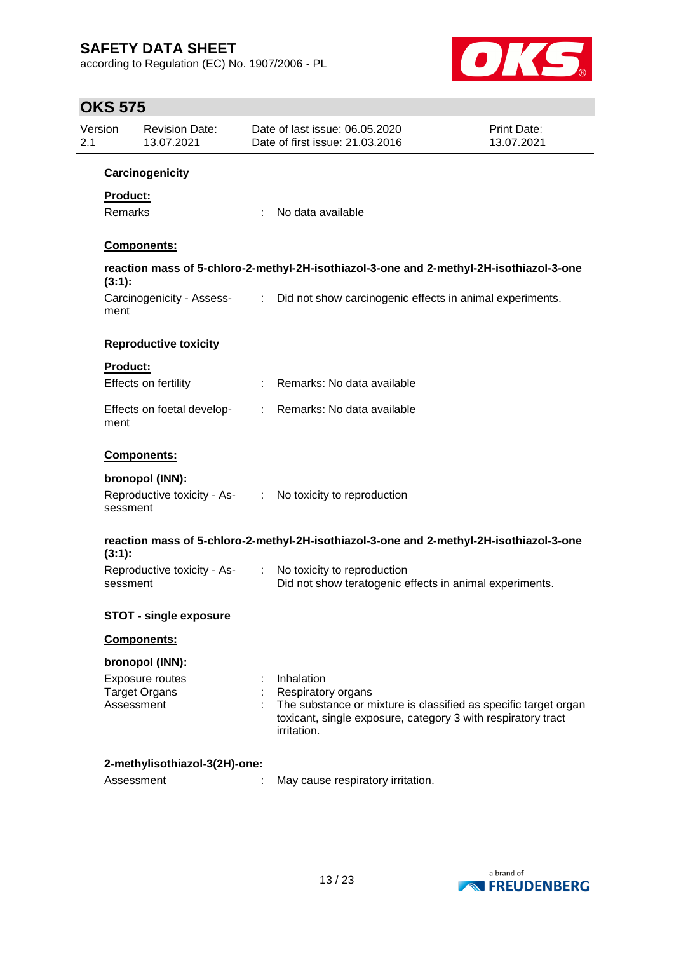according to Regulation (EC) No. 1907/2006 - PL



| Version<br>2.1 |                     | <b>Revision Date:</b><br>13.07.2021     |    | Date of last issue: 06.05.2020<br>Date of first issue: 21.03.2016                                                                                                                  | <b>Print Date:</b><br>13.07.2021 |
|----------------|---------------------|-----------------------------------------|----|------------------------------------------------------------------------------------------------------------------------------------------------------------------------------------|----------------------------------|
|                |                     | Carcinogenicity                         |    |                                                                                                                                                                                    |                                  |
|                | Product:<br>Remarks |                                         | ÷  | No data available                                                                                                                                                                  |                                  |
|                |                     | <b>Components:</b>                      |    |                                                                                                                                                                                    |                                  |
|                | (3:1):              |                                         |    | reaction mass of 5-chloro-2-methyl-2H-isothiazol-3-one and 2-methyl-2H-isothiazol-3-one                                                                                            |                                  |
|                | ment                | Carcinogenicity - Assess-               |    | : Did not show carcinogenic effects in animal experiments.                                                                                                                         |                                  |
|                |                     | <b>Reproductive toxicity</b>            |    |                                                                                                                                                                                    |                                  |
|                | <b>Product:</b>     | Effects on fertility                    |    | Remarks: No data available                                                                                                                                                         |                                  |
|                | ment                | Effects on foetal develop-              | t. | Remarks: No data available                                                                                                                                                         |                                  |
|                |                     | Components:                             |    |                                                                                                                                                                                    |                                  |
|                |                     | bronopol (INN):                         |    |                                                                                                                                                                                    |                                  |
|                | sessment            | Reproductive toxicity - As-             |    | : No toxicity to reproduction                                                                                                                                                      |                                  |
|                | $(3:1)$ :           |                                         |    | reaction mass of 5-chloro-2-methyl-2H-isothiazol-3-one and 2-methyl-2H-isothiazol-3-one                                                                                            |                                  |
|                | sessment            | Reproductive toxicity - As-             | ÷  | No toxicity to reproduction<br>Did not show teratogenic effects in animal experiments.                                                                                             |                                  |
|                |                     | <b>STOT - single exposure</b>           |    |                                                                                                                                                                                    |                                  |
|                |                     | <b>Components:</b>                      |    |                                                                                                                                                                                    |                                  |
|                |                     | bronopol (INN):                         |    |                                                                                                                                                                                    |                                  |
|                | Assessment          | Exposure routes<br><b>Target Organs</b> |    | Inhalation<br>Respiratory organs<br>The substance or mixture is classified as specific target organ<br>toxicant, single exposure, category 3 with respiratory tract<br>irritation. |                                  |
|                |                     | 2-methylisothiazol-3(2H)-one:           |    |                                                                                                                                                                                    |                                  |
|                | Assessment          |                                         |    | May cause respiratory irritation.                                                                                                                                                  |                                  |

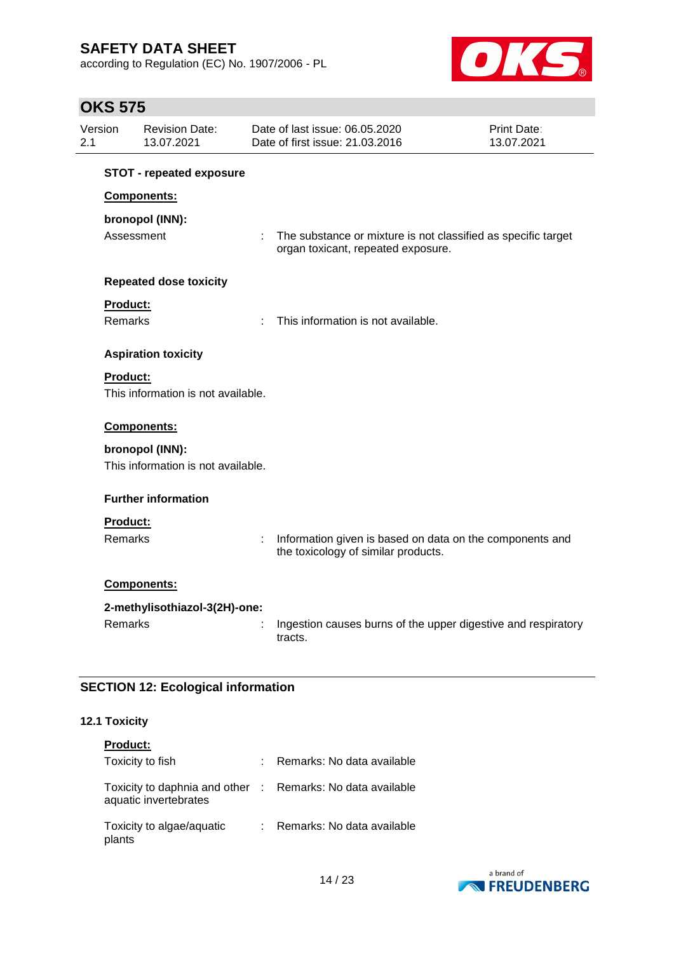according to Regulation (EC) No. 1907/2006 - PL



# **OKS 575**

| Version<br>2.1 |                 | <b>Revision Date:</b><br>13.07.2021 |   | Date of last issue: 06.05.2020<br>Date of first issue: 21.03.2016                                   | Print Date:<br>13.07.2021 |
|----------------|-----------------|-------------------------------------|---|-----------------------------------------------------------------------------------------------------|---------------------------|
|                |                 | <b>STOT - repeated exposure</b>     |   |                                                                                                     |                           |
|                |                 | Components:                         |   |                                                                                                     |                           |
|                |                 | bronopol (INN):                     |   |                                                                                                     |                           |
|                | Assessment      |                                     | ÷ | The substance or mixture is not classified as specific target<br>organ toxicant, repeated exposure. |                           |
|                |                 | <b>Repeated dose toxicity</b>       |   |                                                                                                     |                           |
|                | <b>Product:</b> |                                     |   |                                                                                                     |                           |
|                | <b>Remarks</b>  |                                     |   | This information is not available.                                                                  |                           |
|                |                 | <b>Aspiration toxicity</b>          |   |                                                                                                     |                           |
|                | <b>Product:</b> |                                     |   |                                                                                                     |                           |
|                |                 | This information is not available.  |   |                                                                                                     |                           |
|                |                 | Components:                         |   |                                                                                                     |                           |
|                |                 | bronopol (INN):                     |   |                                                                                                     |                           |
|                |                 | This information is not available.  |   |                                                                                                     |                           |
|                |                 | <b>Further information</b>          |   |                                                                                                     |                           |
|                | <b>Product:</b> |                                     |   |                                                                                                     |                           |
|                | Remarks         |                                     | ł | Information given is based on data on the components and<br>the toxicology of similar products.     |                           |
|                |                 | Components:                         |   |                                                                                                     |                           |
|                |                 | 2-methylisothiazol-3(2H)-one:       |   |                                                                                                     |                           |
|                | Remarks         |                                     |   | Ingestion causes burns of the upper digestive and respiratory<br>tracts.                            |                           |

### **SECTION 12: Ecological information**

### **12.1 Toxicity**

| <b>Product:</b>                                                                     |                            |
|-------------------------------------------------------------------------------------|----------------------------|
| Toxicity to fish                                                                    | Remarks: No data available |
| Toxicity to daphnia and other : Remarks: No data available<br>aquatic invertebrates |                            |
| Toxicity to algae/aquatic<br>plants                                                 | Remarks: No data available |

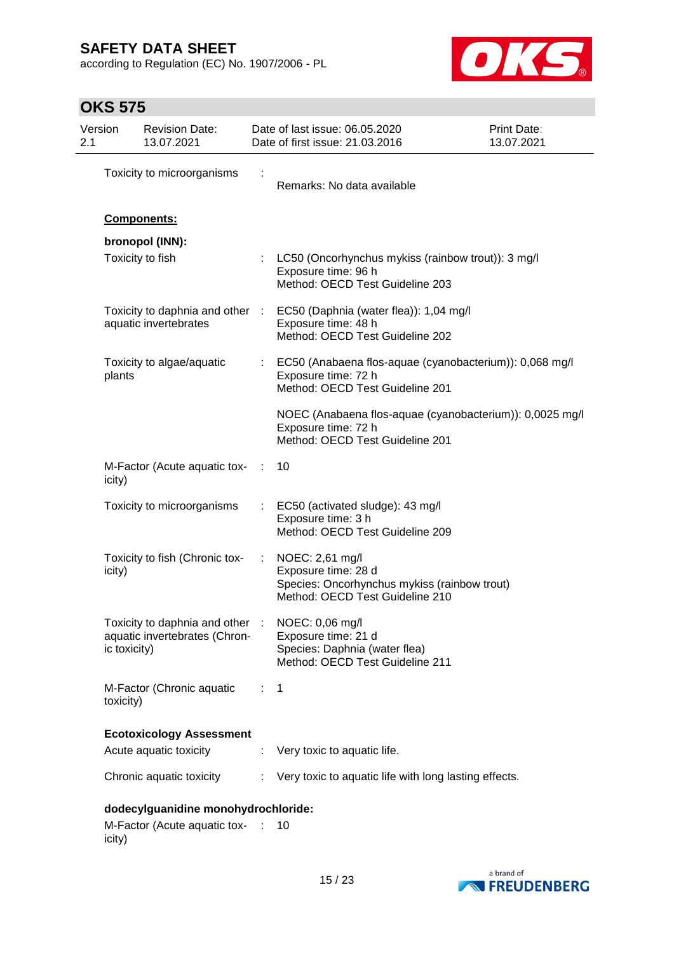according to Regulation (EC) No. 1907/2006 - PL



| Version<br>2.1 |              | <b>Revision Date:</b><br>13.07.2021                                              |                | Date of last issue: 06.05.2020<br>Date of first issue: 21.03.2016                                                         | Print Date:<br>13.07.2021 |
|----------------|--------------|----------------------------------------------------------------------------------|----------------|---------------------------------------------------------------------------------------------------------------------------|---------------------------|
|                |              | Toxicity to microorganisms                                                       |                | Remarks: No data available                                                                                                |                           |
|                |              | Components:                                                                      |                |                                                                                                                           |                           |
|                |              | bronopol (INN):                                                                  |                |                                                                                                                           |                           |
|                |              | Toxicity to fish                                                                 |                | LC50 (Oncorhynchus mykiss (rainbow trout)): 3 mg/l<br>Exposure time: 96 h<br>Method: OECD Test Guideline 203              |                           |
|                |              | Toxicity to daphnia and other :<br>aquatic invertebrates                         |                | EC50 (Daphnia (water flea)): 1,04 mg/l<br>Exposure time: 48 h<br>Method: OECD Test Guideline 202                          |                           |
|                | plants       | Toxicity to algae/aquatic                                                        |                | : EC50 (Anabaena flos-aquae (cyanobacterium)): 0,068 mg/l<br>Exposure time: 72 h<br>Method: OECD Test Guideline 201       |                           |
|                |              |                                                                                  |                | NOEC (Anabaena flos-aquae (cyanobacterium)): 0,0025 mg/l<br>Exposure time: 72 h<br>Method: OECD Test Guideline 201        |                           |
|                | icity)       | M-Factor (Acute aquatic tox- :                                                   |                | 10                                                                                                                        |                           |
|                |              | Toxicity to microorganisms                                                       |                | : EC50 (activated sludge): 43 mg/l<br>Exposure time: 3 h<br>Method: OECD Test Guideline 209                               |                           |
|                | icity)       | Toxicity to fish (Chronic tox-                                                   | ÷              | NOEC: 2,61 mg/l<br>Exposure time: 28 d<br>Species: Oncorhynchus mykiss (rainbow trout)<br>Method: OECD Test Guideline 210 |                           |
|                | ic toxicity) | Toxicity to daphnia and other : NOEC: 0,06 mg/l<br>aquatic invertebrates (Chron- |                | Exposure time: 21 d<br>Species: Daphnia (water flea)<br>Method: OECD Test Guideline 211                                   |                           |
|                | toxicity)    | M-Factor (Chronic aquatic                                                        | $\therefore$ 1 |                                                                                                                           |                           |
|                |              | <b>Ecotoxicology Assessment</b>                                                  |                |                                                                                                                           |                           |
|                |              | Acute aquatic toxicity                                                           | ÷.             | Very toxic to aquatic life.                                                                                               |                           |
|                |              | Chronic aquatic toxicity                                                         |                | : Very toxic to aquatic life with long lasting effects.                                                                   |                           |
|                |              | dodecylguanidine monohydrochloride:                                              |                |                                                                                                                           |                           |
|                | icity)       | M-Factor (Acute aquatic tox- : 10                                                |                |                                                                                                                           |                           |

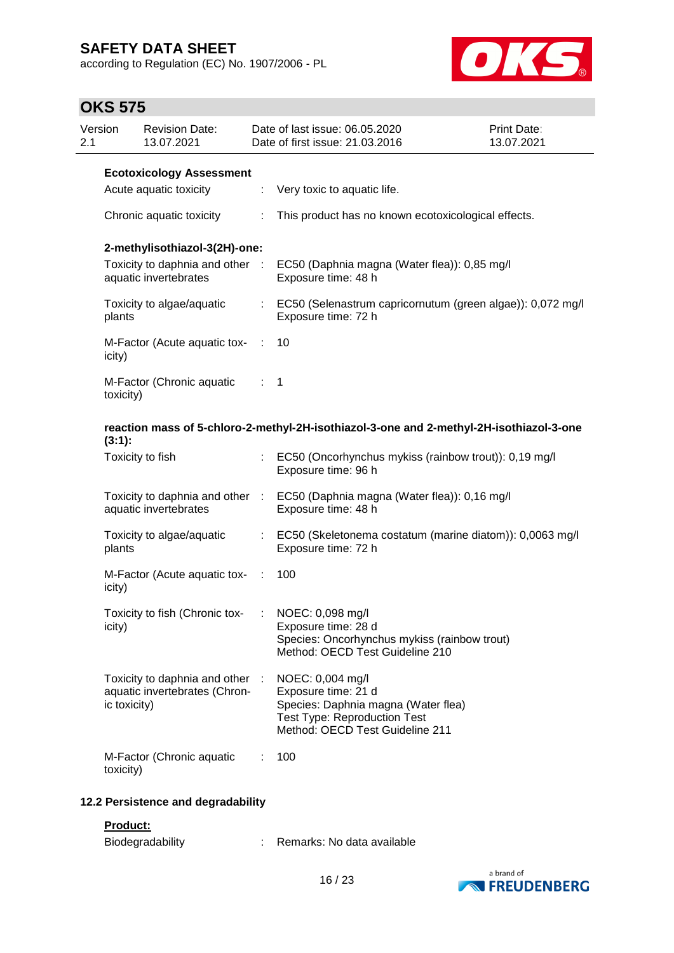according to Regulation (EC) No. 1907/2006 - PL



| Version<br>2.1 |                          | <b>Revision Date:</b><br>13.07.2021                              |                | Date of last issue: 06.05.2020<br>Date of first issue: 21.03.2016                                                                                        | Print Date:<br>13.07.2021 |
|----------------|--------------------------|------------------------------------------------------------------|----------------|----------------------------------------------------------------------------------------------------------------------------------------------------------|---------------------------|
|                |                          | <b>Ecotoxicology Assessment</b>                                  |                |                                                                                                                                                          |                           |
|                |                          | Acute aquatic toxicity                                           | ÷.             | Very toxic to aquatic life.                                                                                                                              |                           |
|                | Chronic aquatic toxicity |                                                                  | ÷              | This product has no known ecotoxicological effects.                                                                                                      |                           |
|                |                          | 2-methylisothiazol-3(2H)-one:                                    |                |                                                                                                                                                          |                           |
|                |                          | Toxicity to daphnia and other :<br>aquatic invertebrates         |                | EC50 (Daphnia magna (Water flea)): 0,85 mg/l<br>Exposure time: 48 h                                                                                      |                           |
|                | plants                   | Toxicity to algae/aquatic                                        |                | : EC50 (Selenastrum capricornutum (green algae)): 0,072 mg/l<br>Exposure time: 72 h                                                                      |                           |
|                | icity)                   | M-Factor (Acute aquatic tox-                                     | $\sim$ 100     | 10                                                                                                                                                       |                           |
|                | toxicity)                | M-Factor (Chronic aquatic                                        | $\therefore$ 1 |                                                                                                                                                          |                           |
|                | (3:1):                   |                                                                  |                | reaction mass of 5-chloro-2-methyl-2H-isothiazol-3-one and 2-methyl-2H-isothiazol-3-one                                                                  |                           |
|                | Toxicity to fish         |                                                                  |                | : EC50 (Oncorhynchus mykiss (rainbow trout)): 0,19 mg/l<br>Exposure time: 96 h                                                                           |                           |
|                |                          | aquatic invertebrates                                            |                | Toxicity to daphnia and other : EC50 (Daphnia magna (Water flea)): 0,16 mg/l<br>Exposure time: 48 h                                                      |                           |
|                | plants                   | Toxicity to algae/aquatic                                        |                | : EC50 (Skeletonema costatum (marine diatom)): 0,0063 mg/l<br>Exposure time: 72 h                                                                        |                           |
|                | icity)                   | M-Factor (Acute aquatic tox-                                     | - 11           | 100                                                                                                                                                      |                           |
|                | icity)                   | Toxicity to fish (Chronic tox-                                   |                | NOEC: 0,098 mg/l<br>Exposure time: 28 d<br>Species: Oncorhynchus mykiss (rainbow trout)<br>Method: OECD Test Guideline 210                               |                           |
|                | ic toxicity)             | Toxicity to daphnia and other :<br>aquatic invertebrates (Chron- |                | NOEC: 0,004 mg/l<br>Exposure time: 21 d<br>Species: Daphnia magna (Water flea)<br><b>Test Type: Reproduction Test</b><br>Method: OECD Test Guideline 211 |                           |
|                | toxicity)                | M-Factor (Chronic aquatic                                        |                | 100                                                                                                                                                      |                           |
|                |                          | 12.2 Persistence and degradability                               |                |                                                                                                                                                          |                           |
|                | Product:                 |                                                                  |                |                                                                                                                                                          |                           |
|                |                          | Biodegradability                                                 |                | Remarks: No data available                                                                                                                               |                           |

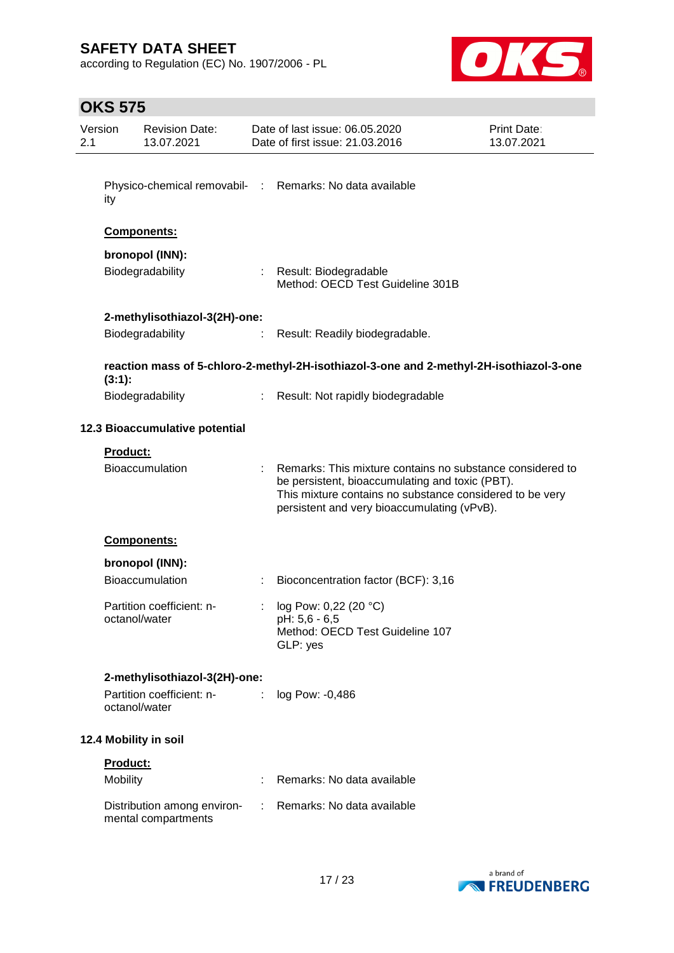according to Regulation (EC) No. 1907/2006 - PL



| Version<br>2.1 |                 | <b>Revision Date:</b><br>13.07.2021                |   | Date of last issue: 06.05.2020<br>Date of first issue: 21.03.2016                                                                                                                                                       | Print Date:<br>13.07.2021 |
|----------------|-----------------|----------------------------------------------------|---|-------------------------------------------------------------------------------------------------------------------------------------------------------------------------------------------------------------------------|---------------------------|
|                |                 |                                                    |   |                                                                                                                                                                                                                         |                           |
|                | ity             |                                                    |   | Physico-chemical removabil- : Remarks: No data available                                                                                                                                                                |                           |
|                |                 | Components:                                        |   |                                                                                                                                                                                                                         |                           |
|                |                 | bronopol (INN):                                    |   |                                                                                                                                                                                                                         |                           |
|                |                 | Biodegradability                                   |   | : Result: Biodegradable<br>Method: OECD Test Guideline 301B                                                                                                                                                             |                           |
|                |                 | 2-methylisothiazol-3(2H)-one:                      |   |                                                                                                                                                                                                                         |                           |
|                |                 | Biodegradability                                   | ÷ | Result: Readily biodegradable.                                                                                                                                                                                          |                           |
|                | (3:1):          |                                                    |   | reaction mass of 5-chloro-2-methyl-2H-isothiazol-3-one and 2-methyl-2H-isothiazol-3-one                                                                                                                                 |                           |
|                |                 | Biodegradability                                   |   | : Result: Not rapidly biodegradable                                                                                                                                                                                     |                           |
|                |                 | 12.3 Bioaccumulative potential                     |   |                                                                                                                                                                                                                         |                           |
|                | <b>Product:</b> |                                                    |   |                                                                                                                                                                                                                         |                           |
|                |                 | Bioaccumulation                                    |   | Remarks: This mixture contains no substance considered to<br>be persistent, bioaccumulating and toxic (PBT).<br>This mixture contains no substance considered to be very<br>persistent and very bioaccumulating (vPvB). |                           |
|                |                 | Components:                                        |   |                                                                                                                                                                                                                         |                           |
|                |                 | bronopol (INN):                                    |   |                                                                                                                                                                                                                         |                           |
|                |                 | Bioaccumulation                                    |   | Bioconcentration factor (BCF): 3,16                                                                                                                                                                                     |                           |
|                |                 | Partition coefficient: n-                          |   | log Pow: 0,22 (20 °C)                                                                                                                                                                                                   |                           |
|                | octanol/water   |                                                    |   | pH: 5,6 - 6,5<br>Method: OECD Test Guideline 107<br>GLP: yes                                                                                                                                                            |                           |
|                |                 | 2-methylisothiazol-3(2H)-one:                      |   |                                                                                                                                                                                                                         |                           |
|                | octanol/water   | Partition coefficient: n-                          |   | log Pow: -0,486                                                                                                                                                                                                         |                           |
|                |                 | 12.4 Mobility in soil                              |   |                                                                                                                                                                                                                         |                           |
|                | <b>Product:</b> |                                                    |   |                                                                                                                                                                                                                         |                           |
|                | Mobility        |                                                    |   | Remarks: No data available                                                                                                                                                                                              |                           |
|                |                 | Distribution among environ-<br>mental compartments | ÷ | Remarks: No data available                                                                                                                                                                                              |                           |

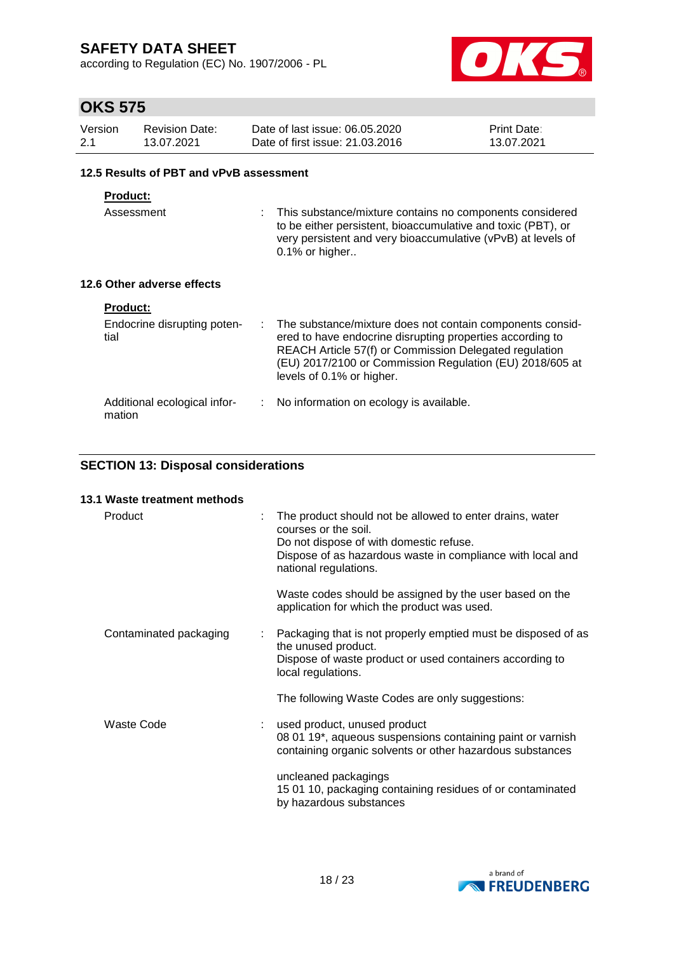according to Regulation (EC) No. 1907/2006 - PL



## **OKS 575**

| Version | <b>Revision Date:</b> | Date of last issue: 06.05.2020  | <b>Print Date:</b> |
|---------|-----------------------|---------------------------------|--------------------|
| 2.1     | 13.07.2021            | Date of first issue: 21.03.2016 | 13.07.2021         |

#### **12.5 Results of PBT and vPvB assessment**

### **Product:**

Assessment : This substance/mixture contains no components considered to be either persistent, bioaccumulative and toxic (PBT), or very persistent and very bioaccumulative (vPvB) at levels of 0.1% or higher..

### **12.6 Other adverse effects**

| <b>Product:</b>                        |                                                                                                                                                                                                                                                                           |
|----------------------------------------|---------------------------------------------------------------------------------------------------------------------------------------------------------------------------------------------------------------------------------------------------------------------------|
| Endocrine disrupting poten-<br>tial    | The substance/mixture does not contain components consid-<br>ered to have endocrine disrupting properties according to<br>REACH Article 57(f) or Commission Delegated regulation<br>(EU) 2017/2100 or Commission Regulation (EU) 2018/605 at<br>levels of 0.1% or higher. |
| Additional ecological infor-<br>mation | No information on ecology is available.                                                                                                                                                                                                                                   |

### **SECTION 13: Disposal considerations**

| 13.1 Waste treatment methods |   |                                                                                                                                                                                                                    |
|------------------------------|---|--------------------------------------------------------------------------------------------------------------------------------------------------------------------------------------------------------------------|
| Product                      |   | The product should not be allowed to enter drains, water<br>courses or the soil.<br>Do not dispose of with domestic refuse.<br>Dispose of as hazardous waste in compliance with local and<br>national regulations. |
|                              |   | Waste codes should be assigned by the user based on the<br>application for which the product was used.                                                                                                             |
| Contaminated packaging       | ÷ | Packaging that is not properly emptied must be disposed of as<br>the unused product.<br>Dispose of waste product or used containers according to<br>local regulations.                                             |
|                              |   | The following Waste Codes are only suggestions:                                                                                                                                                                    |
| Waste Code                   |   | used product, unused product<br>08 01 19*, aqueous suspensions containing paint or varnish<br>containing organic solvents or other hazardous substances                                                            |
|                              |   | uncleaned packagings<br>15 01 10, packaging containing residues of or contaminated<br>by hazardous substances                                                                                                      |

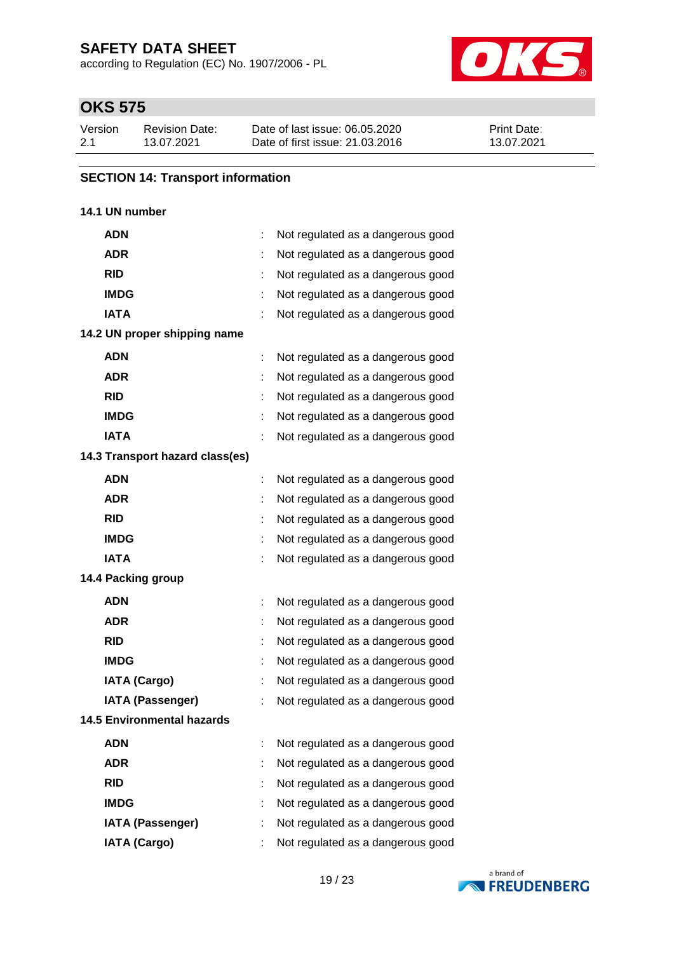according to Regulation (EC) No. 1907/2006 - PL



# **OKS 575**

| Version | Revision Date: | Date of last issue: 06.05.2020  | <b>Print Date:</b> |
|---------|----------------|---------------------------------|--------------------|
| 2.1     | 13.07.2021     | Date of first issue: 21,03,2016 | 13.07.2021         |

### **SECTION 14: Transport information**

### **14.1 UN number**

| <b>ADN</b>                        |   | Not regulated as a dangerous good |
|-----------------------------------|---|-----------------------------------|
| <b>ADR</b>                        |   | Not regulated as a dangerous good |
| <b>RID</b>                        | ÷ | Not regulated as a dangerous good |
| <b>IMDG</b>                       |   | Not regulated as a dangerous good |
| <b>IATA</b>                       |   | Not regulated as a dangerous good |
| 14.2 UN proper shipping name      |   |                                   |
| <b>ADN</b>                        |   | Not regulated as a dangerous good |
| <b>ADR</b>                        |   | Not regulated as a dangerous good |
| <b>RID</b>                        |   | Not regulated as a dangerous good |
| <b>IMDG</b>                       |   | Not regulated as a dangerous good |
| <b>IATA</b>                       |   | Not regulated as a dangerous good |
| 14.3 Transport hazard class(es)   |   |                                   |
| <b>ADN</b>                        |   | Not regulated as a dangerous good |
| <b>ADR</b>                        |   | Not regulated as a dangerous good |
| <b>RID</b>                        | t | Not regulated as a dangerous good |
| <b>IMDG</b>                       |   | Not regulated as a dangerous good |
| <b>IATA</b>                       |   | Not regulated as a dangerous good |
| 14.4 Packing group                |   |                                   |
| <b>ADN</b>                        |   | Not regulated as a dangerous good |
| <b>ADR</b>                        |   | Not regulated as a dangerous good |
| <b>RID</b>                        | ÷ | Not regulated as a dangerous good |
| <b>IMDG</b>                       |   | Not regulated as a dangerous good |
| <b>IATA (Cargo)</b>               |   | Not regulated as a dangerous good |
| <b>IATA (Passenger)</b>           |   | Not regulated as a dangerous good |
| <b>14.5 Environmental hazards</b> |   |                                   |
| <b>ADN</b>                        |   | Not regulated as a dangerous good |
| <b>ADR</b>                        |   | Not regulated as a dangerous good |
| <b>RID</b>                        |   | Not regulated as a dangerous good |
| <b>IMDG</b>                       |   | Not regulated as a dangerous good |
| <b>IATA (Passenger)</b>           |   | Not regulated as a dangerous good |
| <b>IATA (Cargo)</b>               |   | Not regulated as a dangerous good |

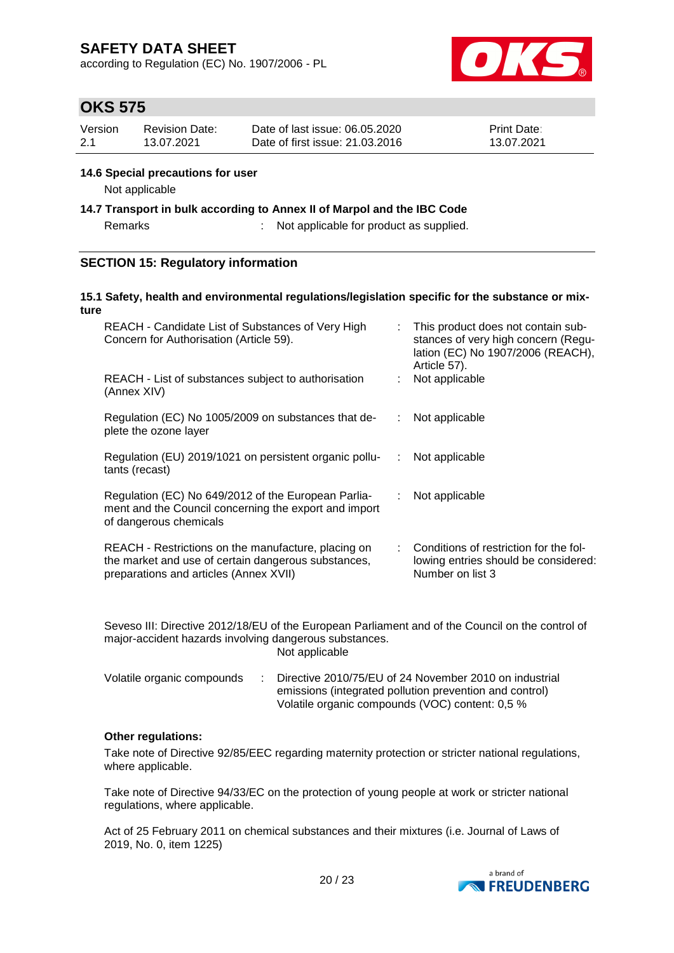according to Regulation (EC) No. 1907/2006 - PL



## **OKS 575**

| Version | Revision Date: | Date of last issue: 06.05.2020  | <b>Print Date:</b> |
|---------|----------------|---------------------------------|--------------------|
| 2.1     | 13.07.2021     | Date of first issue: 21.03.2016 | 13.07.2021         |

#### **14.6 Special precautions for user**

Not applicable

**14.7 Transport in bulk according to Annex II of Marpol and the IBC Code**

Remarks : Not applicable for product as supplied.

#### **SECTION 15: Regulatory information**

#### **15.1 Safety, health and environmental regulations/legislation specific for the substance or mixture**

| REACH - Candidate List of Substances of Very High<br>Concern for Authorisation (Article 59).                                                         | t. | This product does not contain sub-<br>stances of very high concern (Regu-<br>lation (EC) No 1907/2006 (REACH),<br>Article 57). |
|------------------------------------------------------------------------------------------------------------------------------------------------------|----|--------------------------------------------------------------------------------------------------------------------------------|
| REACH - List of substances subject to authorisation<br>(Annex XIV)                                                                                   |    | Not applicable                                                                                                                 |
| Regulation (EC) No 1005/2009 on substances that de-<br>plete the ozone layer                                                                         |    | Not applicable                                                                                                                 |
| Regulation (EU) 2019/1021 on persistent organic pollu-<br>tants (recast)                                                                             |    | Not applicable                                                                                                                 |
| Regulation (EC) No 649/2012 of the European Parlia-<br>ment and the Council concerning the export and import<br>of dangerous chemicals               |    | Not applicable                                                                                                                 |
| REACH - Restrictions on the manufacture, placing on<br>the market and use of certain dangerous substances,<br>preparations and articles (Annex XVII) |    | Conditions of restriction for the fol-<br>lowing entries should be considered:<br>Number on list 3                             |

Seveso III: Directive 2012/18/EU of the European Parliament and of the Council on the control of major-accident hazards involving dangerous substances. Not applicable

| Volatile organic compounds | Directive 2010/75/EU of 24 November 2010 on industrial  |
|----------------------------|---------------------------------------------------------|
|                            | emissions (integrated pollution prevention and control) |
|                            | Volatile organic compounds (VOC) content: 0.5 %         |

#### **Other regulations:**

Take note of Directive 92/85/EEC regarding maternity protection or stricter national regulations, where applicable.

Take note of Directive 94/33/EC on the protection of young people at work or stricter national regulations, where applicable.

Act of 25 February 2011 on chemical substances and their mixtures (i.e. Journal of Laws of 2019, No. 0, item 1225)

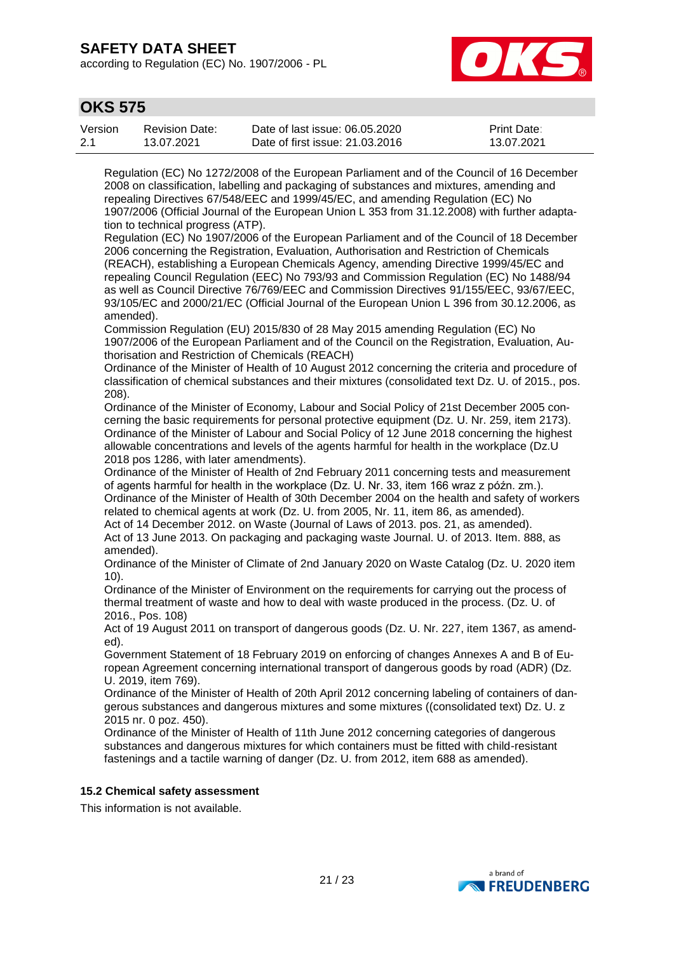according to Regulation (EC) No. 1907/2006 - PL



## **OKS 575**

| Version | <b>Revision Date:</b> | Date of last issue: 06.05.2020  | <b>Print Date:</b> |
|---------|-----------------------|---------------------------------|--------------------|
| 2.1     | 13.07.2021            | Date of first issue: 21,03,2016 | 13.07.2021         |

Regulation (EC) No 1272/2008 of the European Parliament and of the Council of 16 December 2008 on classification, labelling and packaging of substances and mixtures, amending and repealing Directives 67/548/EEC and 1999/45/EC, and amending Regulation (EC) No 1907/2006 (Official Journal of the European Union L 353 from 31.12.2008) with further adaptation to technical progress (ATP).

Regulation (EC) No 1907/2006 of the European Parliament and of the Council of 18 December 2006 concerning the Registration, Evaluation, Authorisation and Restriction of Chemicals (REACH), establishing a European Chemicals Agency, amending Directive 1999/45/EC and repealing Council Regulation (EEC) No 793/93 and Commission Regulation (EC) No 1488/94 as well as Council Directive 76/769/EEC and Commission Directives 91/155/EEC, 93/67/EEC, 93/105/EC and 2000/21/EC (Official Journal of the European Union L 396 from 30.12.2006, as amended).

Commission Regulation (EU) 2015/830 of 28 May 2015 amending Regulation (EC) No 1907/2006 of the European Parliament and of the Council on the Registration, Evaluation, Authorisation and Restriction of Chemicals (REACH)

Ordinance of the Minister of Health of 10 August 2012 concerning the criteria and procedure of classification of chemical substances and their mixtures (consolidated text Dz. U. of 2015., pos. 208).

Ordinance of the Minister of Economy, Labour and Social Policy of 21st December 2005 concerning the basic requirements for personal protective equipment (Dz. U. Nr. 259, item 2173). Ordinance of the Minister of Labour and Social Policy of 12 June 2018 concerning the highest allowable concentrations and levels of the agents harmful for health in the workplace (Dz.U 2018 pos 1286, with later amendments).

Ordinance of the Minister of Health of 2nd February 2011 concerning tests and measurement of agents harmful for health in the workplace (Dz. U. Nr. 33, item 166 wraz z późn. zm.). Ordinance of the Minister of Health of 30th December 2004 on the health and safety of workers related to chemical agents at work (Dz. U. from 2005, Nr. 11, item 86, as amended).

Act of 14 December 2012. on Waste (Journal of Laws of 2013. pos. 21, as amended). Act of 13 June 2013. On packaging and packaging waste Journal. U. of 2013. Item. 888, as amended).

Ordinance of the Minister of Climate of 2nd January 2020 on Waste Catalog (Dz. U. 2020 item 10).

Ordinance of the Minister of Environment on the requirements for carrying out the process of thermal treatment of waste and how to deal with waste produced in the process. (Dz. U. of 2016., Pos. 108)

Act of 19 August 2011 on transport of dangerous goods (Dz. U. Nr. 227, item 1367, as amended).

Government Statement of 18 February 2019 on enforcing of changes Annexes A and B of European Agreement concerning international transport of dangerous goods by road (ADR) (Dz. U. 2019, item 769).

Ordinance of the Minister of Health of 20th April 2012 concerning labeling of containers of dangerous substances and dangerous mixtures and some mixtures ((consolidated text) Dz. U. z 2015 nr. 0 poz. 450).

Ordinance of the Minister of Health of 11th June 2012 concerning categories of dangerous substances and dangerous mixtures for which containers must be fitted with child-resistant fastenings and a tactile warning of danger (Dz. U. from 2012, item 688 as amended).

#### **15.2 Chemical safety assessment**

This information is not available.

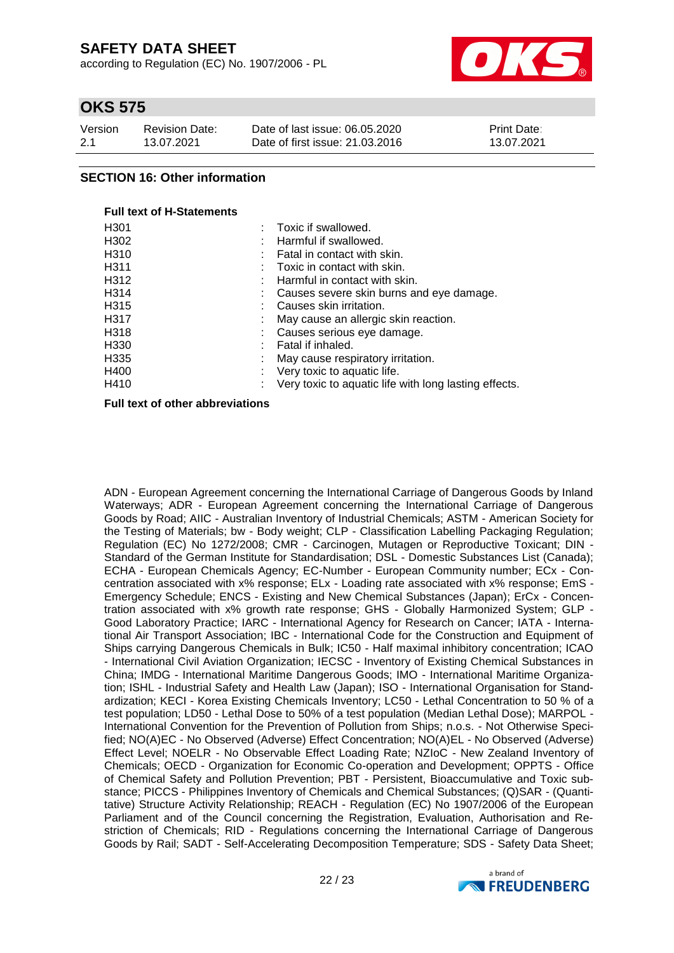according to Regulation (EC) No. 1907/2006 - PL



## **OKS 575**

| Version | Revision Date: | Date of last issue: 06.05.2020  | <b>Print Date:</b> |
|---------|----------------|---------------------------------|--------------------|
| 2.1     | 13.07.2021     | Date of first issue: 21,03,2016 | 13.07.2021         |

### **SECTION 16: Other information**

### **Full text of H-Statements** H301 : Toxic if swallowed.

| H302              | Harmful if swallowed.                                 |
|-------------------|-------------------------------------------------------|
| H <sub>310</sub>  | Fatal in contact with skin.                           |
| H <sub>3</sub> 11 | Toxic in contact with skin.                           |
| H312              | Harmful in contact with skin.                         |
| H <sub>3</sub> 14 | Causes severe skin burns and eye damage.              |
| H <sub>3</sub> 15 | Causes skin irritation.                               |
| H317              | May cause an allergic skin reaction.                  |
| H318              | Causes serious eye damage.                            |
| H330              | Fatal if inhaled.                                     |
| H335              | May cause respiratory irritation.                     |
| H400              | Very toxic to aquatic life.                           |
| H410              | Very toxic to aquatic life with long lasting effects. |
|                   |                                                       |

**Full text of other abbreviations**

ADN - European Agreement concerning the International Carriage of Dangerous Goods by Inland Waterways; ADR - European Agreement concerning the International Carriage of Dangerous Goods by Road; AIIC - Australian Inventory of Industrial Chemicals; ASTM - American Society for the Testing of Materials; bw - Body weight; CLP - Classification Labelling Packaging Regulation; Regulation (EC) No 1272/2008; CMR - Carcinogen, Mutagen or Reproductive Toxicant; DIN - Standard of the German Institute for Standardisation; DSL - Domestic Substances List (Canada); ECHA - European Chemicals Agency; EC-Number - European Community number; ECx - Concentration associated with x% response; ELx - Loading rate associated with x% response; EmS - Emergency Schedule; ENCS - Existing and New Chemical Substances (Japan); ErCx - Concentration associated with x% growth rate response; GHS - Globally Harmonized System; GLP - Good Laboratory Practice; IARC - International Agency for Research on Cancer; IATA - International Air Transport Association; IBC - International Code for the Construction and Equipment of Ships carrying Dangerous Chemicals in Bulk; IC50 - Half maximal inhibitory concentration; ICAO - International Civil Aviation Organization; IECSC - Inventory of Existing Chemical Substances in China; IMDG - International Maritime Dangerous Goods; IMO - International Maritime Organization; ISHL - Industrial Safety and Health Law (Japan); ISO - International Organisation for Standardization; KECI - Korea Existing Chemicals Inventory; LC50 - Lethal Concentration to 50 % of a test population; LD50 - Lethal Dose to 50% of a test population (Median Lethal Dose); MARPOL - International Convention for the Prevention of Pollution from Ships; n.o.s. - Not Otherwise Specified; NO(A)EC - No Observed (Adverse) Effect Concentration; NO(A)EL - No Observed (Adverse) Effect Level; NOELR - No Observable Effect Loading Rate; NZIoC - New Zealand Inventory of Chemicals; OECD - Organization for Economic Co-operation and Development; OPPTS - Office of Chemical Safety and Pollution Prevention; PBT - Persistent, Bioaccumulative and Toxic substance; PICCS - Philippines Inventory of Chemicals and Chemical Substances; (Q)SAR - (Quantitative) Structure Activity Relationship; REACH - Regulation (EC) No 1907/2006 of the European Parliament and of the Council concerning the Registration, Evaluation, Authorisation and Restriction of Chemicals; RID - Regulations concerning the International Carriage of Dangerous Goods by Rail; SADT - Self-Accelerating Decomposition Temperature; SDS - Safety Data Sheet;